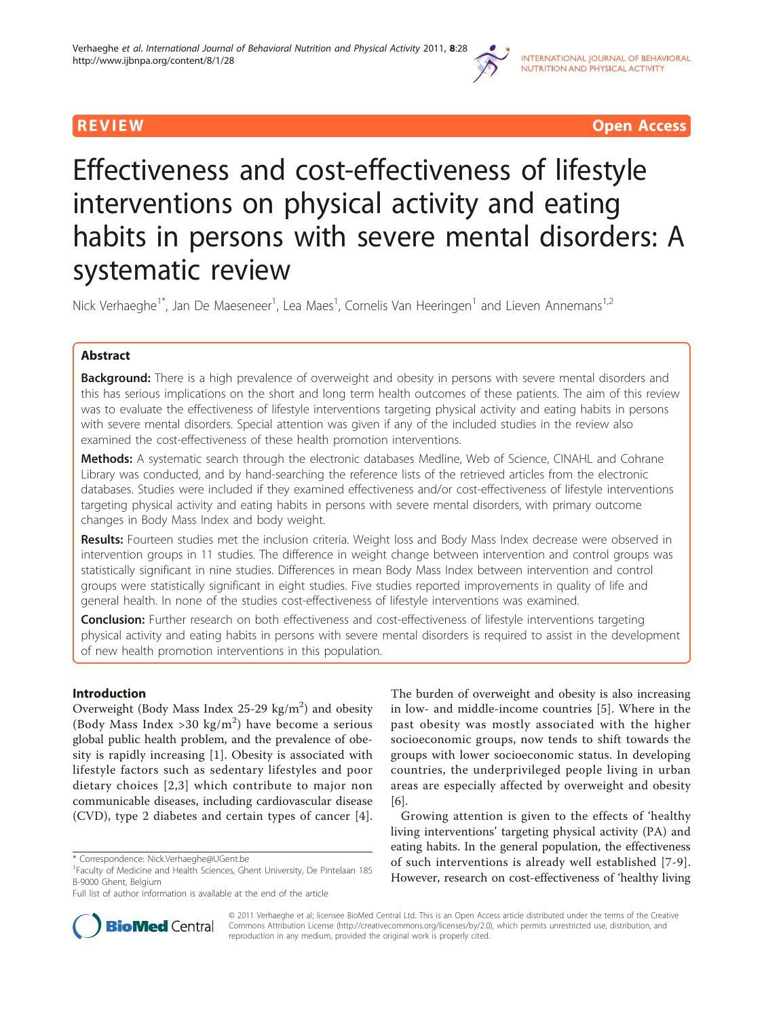

**REVIEW CONSIDERING CONSIDERING CONSIDERING CONSIDERING CONSIDERING CONSIDERING CONSIDERING CONSIDERING CONSIDERING CONSIDERING CONSIDERING CONSIDERING CONSIDERING CONSIDERING CONSIDERING CONSIDERING CONSIDERING CONSIDER** 

# Effectiveness and cost-effectiveness of lifestyle interventions on physical activity and eating habits in persons with severe mental disorders: A systematic review

Nick Verhaeghe<sup>1\*</sup>, Jan De Maeseneer<sup>1</sup>, Lea Maes<sup>1</sup>, Cornelis Van Heeringen<sup>1</sup> and Lieven Annemans<sup>1,2</sup>

# Abstract

**Background:** There is a high prevalence of overweight and obesity in persons with severe mental disorders and this has serious implications on the short and long term health outcomes of these patients. The aim of this review was to evaluate the effectiveness of lifestyle interventions targeting physical activity and eating habits in persons with severe mental disorders. Special attention was given if any of the included studies in the review also examined the cost-effectiveness of these health promotion interventions.

Methods: A systematic search through the electronic databases Medline, Web of Science, CINAHL and Cohrane Library was conducted, and by hand-searching the reference lists of the retrieved articles from the electronic databases. Studies were included if they examined effectiveness and/or cost-effectiveness of lifestyle interventions targeting physical activity and eating habits in persons with severe mental disorders, with primary outcome changes in Body Mass Index and body weight.

Results: Fourteen studies met the inclusion criteria. Weight loss and Body Mass Index decrease were observed in intervention groups in 11 studies. The difference in weight change between intervention and control groups was statistically significant in nine studies. Differences in mean Body Mass Index between intervention and control groups were statistically significant in eight studies. Five studies reported improvements in quality of life and general health. In none of the studies cost-effectiveness of lifestyle interventions was examined.

Conclusion: Further research on both effectiveness and cost-effectiveness of lifestyle interventions targeting physical activity and eating habits in persons with severe mental disorders is required to assist in the development of new health promotion interventions in this population.

# Introduction

Overweight (Body Mass Index 25-29  $\text{kg/m}^2$ ) and obesity (Body Mass Index > 30 kg/m<sup>2</sup>) have become a serious global public health problem, and the prevalence of obesity is rapidly increasing [[1\]](#page-9-0). Obesity is associated with lifestyle factors such as sedentary lifestyles and poor dietary choices [[2](#page-9-0),[3](#page-9-0)] which contribute to major non communicable diseases, including cardiovascular disease (CVD), type 2 diabetes and certain types of cancer [[4](#page-9-0)].



Growing attention is given to the effects of 'healthy living interventions' targeting physical activity (PA) and eating habits. In the general population, the effectiveness of such interventions is already well established [[7](#page-9-0)-[9](#page-9-0)]. However, research on cost-effectiveness of 'healthy living



© 2011 Verhaeghe et al; licensee BioMed Central Ltd. This is an Open Access article distributed under the terms of the Creative Commons Attribution License [\(http://creativecommons.org/licenses/by/2.0](http://creativecommons.org/licenses/by/2.0)), which permits unrestricted use, distribution, and reproduction in any medium, provided the original work is properly cited.

<sup>\*</sup> Correspondence: [Nick.Verhaeghe@UGent.be](mailto:Nick.Verhaeghe@UGent.be)

<sup>&</sup>lt;sup>1</sup> Faculty of Medicine and Health Sciences, Ghent University, De Pintelaan 185 B-9000 Ghent, Belgium

Full list of author information is available at the end of the article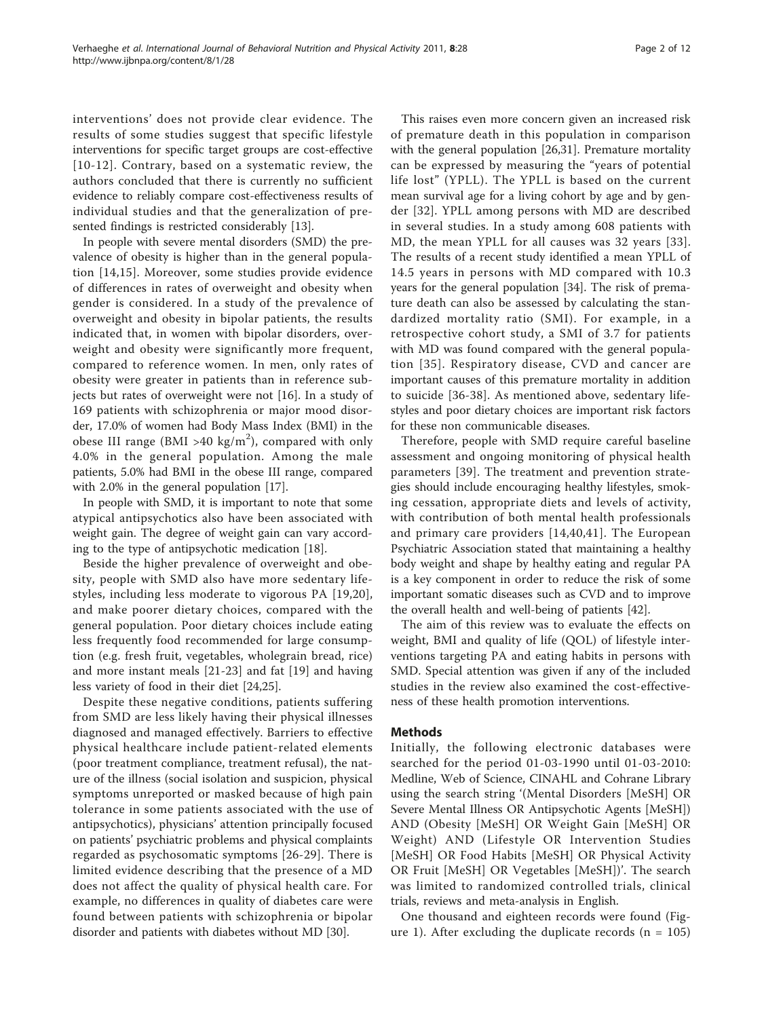interventions' does not provide clear evidence. The results of some studies suggest that specific lifestyle interventions for specific target groups are cost-effective [[10-12](#page-9-0)]. Contrary, based on a systematic review, the authors concluded that there is currently no sufficient evidence to reliably compare cost-effectiveness results of individual studies and that the generalization of presented findings is restricted considerably [[13\]](#page-9-0).

In people with severe mental disorders (SMD) the prevalence of obesity is higher than in the general population [[14,15](#page-9-0)]. Moreover, some studies provide evidence of differences in rates of overweight and obesity when gender is considered. In a study of the prevalence of overweight and obesity in bipolar patients, the results indicated that, in women with bipolar disorders, overweight and obesity were significantly more frequent, compared to reference women. In men, only rates of obesity were greater in patients than in reference subjects but rates of overweight were not [\[16](#page-9-0)]. In a study of 169 patients with schizophrenia or major mood disorder, 17.0% of women had Body Mass Index (BMI) in the obese III range (BMI >40 kg/m<sup>2</sup>), compared with only 4.0% in the general population. Among the male patients, 5.0% had BMI in the obese III range, compared with 2.0% in the general population [[17\]](#page-9-0).

In people with SMD, it is important to note that some atypical antipsychotics also have been associated with weight gain. The degree of weight gain can vary according to the type of antipsychotic medication [\[18\]](#page-9-0).

Beside the higher prevalence of overweight and obesity, people with SMD also have more sedentary lifestyles, including less moderate to vigorous PA [\[19,20](#page-9-0)], and make poorer dietary choices, compared with the general population. Poor dietary choices include eating less frequently food recommended for large consumption (e.g. fresh fruit, vegetables, wholegrain bread, rice) and more instant meals [\[21](#page-9-0)-[23\]](#page-9-0) and fat [\[19](#page-9-0)] and having less variety of food in their diet [\[24,25](#page-9-0)].

Despite these negative conditions, patients suffering from SMD are less likely having their physical illnesses diagnosed and managed effectively. Barriers to effective physical healthcare include patient-related elements (poor treatment compliance, treatment refusal), the nature of the illness (social isolation and suspicion, physical symptoms unreported or masked because of high pain tolerance in some patients associated with the use of antipsychotics), physicians' attention principally focused on patients' psychiatric problems and physical complaints regarded as psychosomatic symptoms [[26](#page-9-0)-[29](#page-9-0)]. There is limited evidence describing that the presence of a MD does not affect the quality of physical health care. For example, no differences in quality of diabetes care were found between patients with schizophrenia or bipolar disorder and patients with diabetes without MD [\[30](#page-9-0)].

This raises even more concern given an increased risk of premature death in this population in comparison with the general population [\[26,31\]](#page-9-0). Premature mortality can be expressed by measuring the "years of potential life lost" (YPLL). The YPLL is based on the current mean survival age for a living cohort by age and by gender [\[32\]](#page-9-0). YPLL among persons with MD are described in several studies. In a study among 608 patients with MD, the mean YPLL for all causes was 32 years [[33](#page-9-0)]. The results of a recent study identified a mean YPLL of 14.5 years in persons with MD compared with 10.3 years for the general population [\[34](#page-9-0)]. The risk of premature death can also be assessed by calculating the standardized mortality ratio (SMI). For example, in a retrospective cohort study, a SMI of 3.7 for patients with MD was found compared with the general population [[35](#page-9-0)]. Respiratory disease, CVD and cancer are important causes of this premature mortality in addition to suicide [[36](#page-9-0)[-38\]](#page-10-0). As mentioned above, sedentary lifestyles and poor dietary choices are important risk factors for these non communicable diseases.

Therefore, people with SMD require careful baseline assessment and ongoing monitoring of physical health parameters [[39\]](#page-10-0). The treatment and prevention strategies should include encouraging healthy lifestyles, smoking cessation, appropriate diets and levels of activity, with contribution of both mental health professionals and primary care providers [\[14,](#page-9-0)[40,41](#page-10-0)]. The European Psychiatric Association stated that maintaining a healthy body weight and shape by healthy eating and regular PA is a key component in order to reduce the risk of some important somatic diseases such as CVD and to improve the overall health and well-being of patients [\[42\]](#page-10-0).

The aim of this review was to evaluate the effects on weight, BMI and quality of life (QOL) of lifestyle interventions targeting PA and eating habits in persons with SMD. Special attention was given if any of the included studies in the review also examined the cost-effectiveness of these health promotion interventions.

# Methods

Initially, the following electronic databases were searched for the period 01-03-1990 until 01-03-2010: Medline, Web of Science, CINAHL and Cohrane Library using the search string '(Mental Disorders [MeSH] OR Severe Mental Illness OR Antipsychotic Agents [MeSH]) AND (Obesity [MeSH] OR Weight Gain [MeSH] OR Weight) AND (Lifestyle OR Intervention Studies [MeSH] OR Food Habits [MeSH] OR Physical Activity OR Fruit [MeSH] OR Vegetables [MeSH])'. The search was limited to randomized controlled trials, clinical trials, reviews and meta-analysis in English.

One thousand and eighteen records were found (Fig-ure [1\)](#page-2-0). After excluding the duplicate records  $(n = 105)$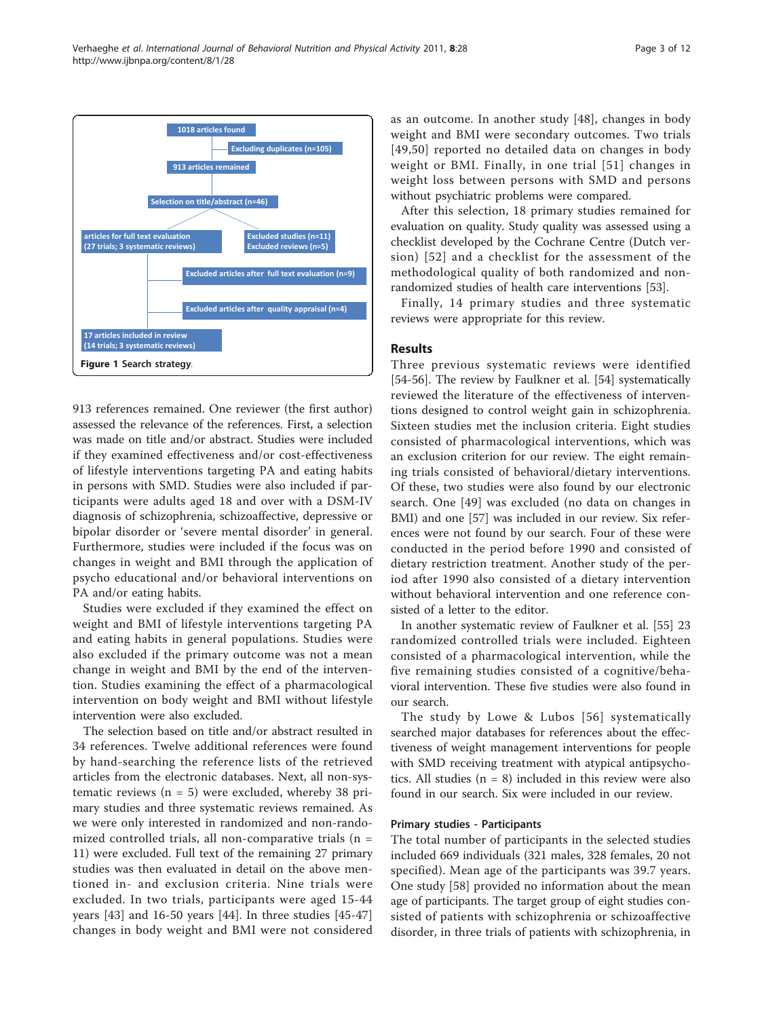<span id="page-2-0"></span>

913 references remained. One reviewer (the first author) assessed the relevance of the references. First, a selection was made on title and/or abstract. Studies were included if they examined effectiveness and/or cost-effectiveness of lifestyle interventions targeting PA and eating habits in persons with SMD. Studies were also included if participants were adults aged 18 and over with a DSM-IV diagnosis of schizophrenia, schizoaffective, depressive or bipolar disorder or 'severe mental disorder' in general. Furthermore, studies were included if the focus was on changes in weight and BMI through the application of psycho educational and/or behavioral interventions on PA and/or eating habits.

Studies were excluded if they examined the effect on weight and BMI of lifestyle interventions targeting PA and eating habits in general populations. Studies were also excluded if the primary outcome was not a mean change in weight and BMI by the end of the intervention. Studies examining the effect of a pharmacological intervention on body weight and BMI without lifestyle intervention were also excluded.

The selection based on title and/or abstract resulted in 34 references. Twelve additional references were found by hand-searching the reference lists of the retrieved articles from the electronic databases. Next, all non-systematic reviews  $(n = 5)$  were excluded, whereby 38 primary studies and three systematic reviews remained. As we were only interested in randomized and non-randomized controlled trials, all non-comparative trials ( $n =$ 11) were excluded. Full text of the remaining 27 primary studies was then evaluated in detail on the above mentioned in- and exclusion criteria. Nine trials were excluded. In two trials, participants were aged 15-44 years [\[43](#page-10-0)] and 16-50 years [\[44](#page-10-0)]. In three studies [[45-47](#page-10-0)] changes in body weight and BMI were not considered as an outcome. In another study [\[48\]](#page-10-0), changes in body weight and BMI were secondary outcomes. Two trials [[49,50](#page-10-0)] reported no detailed data on changes in body weight or BMI. Finally, in one trial [[51](#page-10-0)] changes in weight loss between persons with SMD and persons without psychiatric problems were compared.

After this selection, 18 primary studies remained for evaluation on quality. Study quality was assessed using a checklist developed by the Cochrane Centre (Dutch version) [[52](#page-10-0)] and a checklist for the assessment of the methodological quality of both randomized and nonrandomized studies of health care interventions [[53](#page-10-0)].

Finally, 14 primary studies and three systematic reviews were appropriate for this review.

## Results

Three previous systematic reviews were identified [[54-56\]](#page-10-0). The review by Faulkner et al. [[54](#page-10-0)] systematically reviewed the literature of the effectiveness of interventions designed to control weight gain in schizophrenia. Sixteen studies met the inclusion criteria. Eight studies consisted of pharmacological interventions, which was an exclusion criterion for our review. The eight remaining trials consisted of behavioral/dietary interventions. Of these, two studies were also found by our electronic search. One [\[49\]](#page-10-0) was excluded (no data on changes in BMI) and one [\[57](#page-10-0)] was included in our review. Six references were not found by our search. Four of these were conducted in the period before 1990 and consisted of dietary restriction treatment. Another study of the period after 1990 also consisted of a dietary intervention without behavioral intervention and one reference consisted of a letter to the editor.

In another systematic review of Faulkner et al. [\[55](#page-10-0)] 23 randomized controlled trials were included. Eighteen consisted of a pharmacological intervention, while the five remaining studies consisted of a cognitive/behavioral intervention. These five studies were also found in our search.

The study by Lowe & Lubos [[56\]](#page-10-0) systematically searched major databases for references about the effectiveness of weight management interventions for people with SMD receiving treatment with atypical antipsychotics. All studies  $(n = 8)$  included in this review were also found in our search. Six were included in our review.

# Primary studies - Participants

The total number of participants in the selected studies included 669 individuals (321 males, 328 females, 20 not specified). Mean age of the participants was 39.7 years. One study [\[58](#page-10-0)] provided no information about the mean age of participants. The target group of eight studies consisted of patients with schizophrenia or schizoaffective disorder, in three trials of patients with schizophrenia, in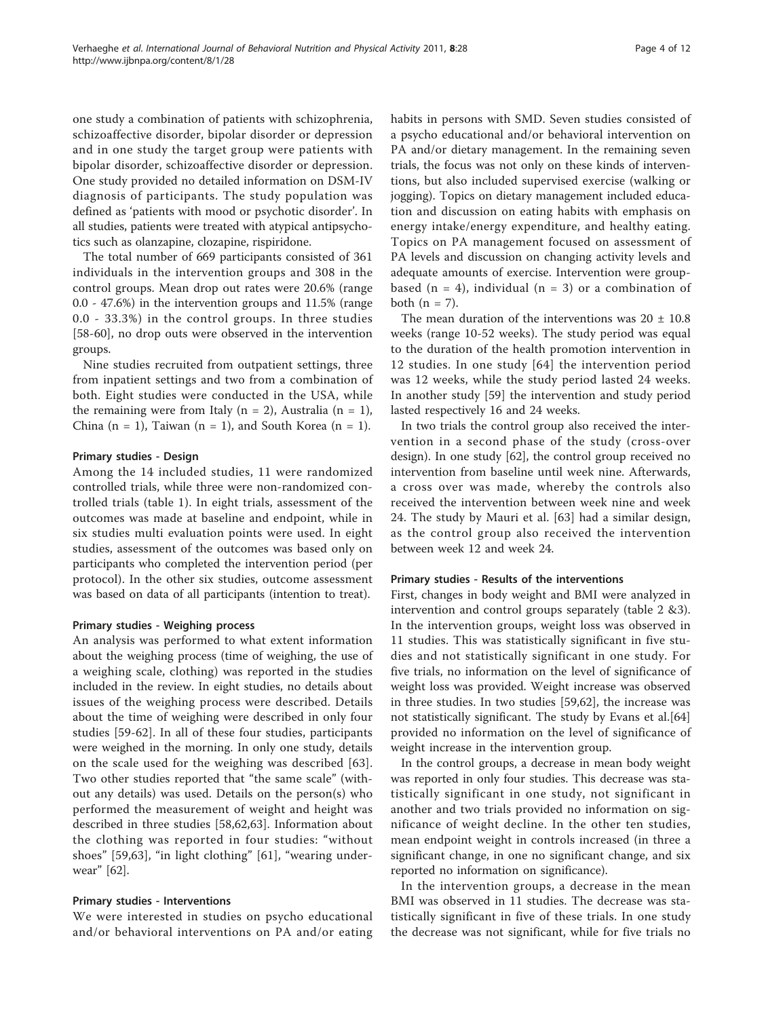one study a combination of patients with schizophrenia, schizoaffective disorder, bipolar disorder or depression and in one study the target group were patients with bipolar disorder, schizoaffective disorder or depression. One study provided no detailed information on DSM-IV diagnosis of participants. The study population was defined as 'patients with mood or psychotic disorder'. In all studies, patients were treated with atypical antipsychotics such as olanzapine, clozapine, rispiridone.

The total number of 669 participants consisted of 361 individuals in the intervention groups and 308 in the control groups. Mean drop out rates were 20.6% (range 0.0 - 47.6%) in the intervention groups and 11.5% (range 0.0 - 33.3%) in the control groups. In three studies [[58-60](#page-10-0)], no drop outs were observed in the intervention groups.

Nine studies recruited from outpatient settings, three from inpatient settings and two from a combination of both. Eight studies were conducted in the USA, while the remaining were from Italy ( $n = 2$ ), Australia ( $n = 1$ ), China  $(n = 1)$ , Taiwan  $(n = 1)$ , and South Korea  $(n = 1)$ .

# Primary studies - Design

Among the 14 included studies, 11 were randomized controlled trials, while three were non-randomized controlled trials (table [1\)](#page-4-0). In eight trials, assessment of the outcomes was made at baseline and endpoint, while in six studies multi evaluation points were used. In eight studies, assessment of the outcomes was based only on participants who completed the intervention period (per protocol). In the other six studies, outcome assessment was based on data of all participants (intention to treat).

# Primary studies - Weighing process

An analysis was performed to what extent information about the weighing process (time of weighing, the use of a weighing scale, clothing) was reported in the studies included in the review. In eight studies, no details about issues of the weighing process were described. Details about the time of weighing were described in only four studies [\[59](#page-10-0)-[62\]](#page-10-0). In all of these four studies, participants were weighed in the morning. In only one study, details on the scale used for the weighing was described [[63](#page-10-0)]. Two other studies reported that "the same scale" (without any details) was used. Details on the person(s) who performed the measurement of weight and height was described in three studies [[58,62,63](#page-10-0)]. Information about the clothing was reported in four studies: "without shoes" [[59,63](#page-10-0)], "in light clothing" [[61\]](#page-10-0), "wearing underwear" [[62\]](#page-10-0).

# Primary studies - Interventions

We were interested in studies on psycho educational and/or behavioral interventions on PA and/or eating habits in persons with SMD. Seven studies consisted of a psycho educational and/or behavioral intervention on PA and/or dietary management. In the remaining seven trials, the focus was not only on these kinds of interventions, but also included supervised exercise (walking or jogging). Topics on dietary management included education and discussion on eating habits with emphasis on energy intake/energy expenditure, and healthy eating. Topics on PA management focused on assessment of PA levels and discussion on changing activity levels and adequate amounts of exercise. Intervention were groupbased ( $n = 4$ ), individual ( $n = 3$ ) or a combination of both  $(n = 7)$ .

The mean duration of the interventions was  $20 \pm 10.8$ weeks (range 10-52 weeks). The study period was equal to the duration of the health promotion intervention in 12 studies. In one study [\[64\]](#page-10-0) the intervention period was 12 weeks, while the study period lasted 24 weeks. In another study [[59\]](#page-10-0) the intervention and study period lasted respectively 16 and 24 weeks.

In two trials the control group also received the intervention in a second phase of the study (cross-over design). In one study [\[62](#page-10-0)], the control group received no intervention from baseline until week nine. Afterwards, a cross over was made, whereby the controls also received the intervention between week nine and week 24. The study by Mauri et al. [[63](#page-10-0)] had a similar design, as the control group also received the intervention between week 12 and week 24.

# Primary studies - Results of the interventions

First, changes in body weight and BMI were analyzed in intervention and control groups separately (table [2](#page-5-0) [&3](#page-6-0)). In the intervention groups, weight loss was observed in 11 studies. This was statistically significant in five studies and not statistically significant in one study. For five trials, no information on the level of significance of weight loss was provided. Weight increase was observed in three studies. In two studies [[59,62\]](#page-10-0), the increase was not statistically significant. The study by Evans et al.[[64](#page-10-0)] provided no information on the level of significance of weight increase in the intervention group.

In the control groups, a decrease in mean body weight was reported in only four studies. This decrease was statistically significant in one study, not significant in another and two trials provided no information on significance of weight decline. In the other ten studies, mean endpoint weight in controls increased (in three a significant change, in one no significant change, and six reported no information on significance).

In the intervention groups, a decrease in the mean BMI was observed in 11 studies. The decrease was statistically significant in five of these trials. In one study the decrease was not significant, while for five trials no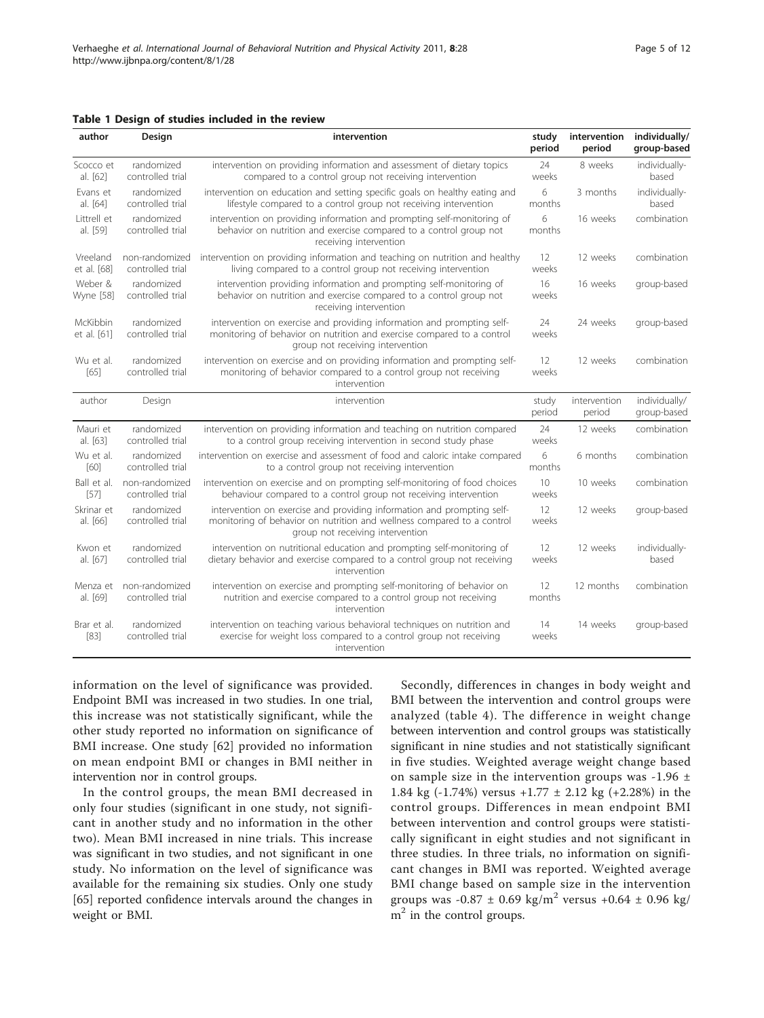<span id="page-4-0"></span>

| author                  | Design                             | intervention                                                                                                                                                                         | study<br>period            | intervention<br>period | individually/<br>group-based |
|-------------------------|------------------------------------|--------------------------------------------------------------------------------------------------------------------------------------------------------------------------------------|----------------------------|------------------------|------------------------------|
| Scocco et<br>al. [62]   | randomized<br>controlled trial     | intervention on providing information and assessment of dietary topics<br>compared to a control group not receiving intervention                                                     |                            | 8 weeks                | individually-<br>based       |
| Evans et<br>al. [64]    | randomized<br>controlled trial     | intervention on education and setting specific goals on healthy eating and<br>lifestyle compared to a control group not receiving intervention                                       |                            | 3 months               | individually-<br>based       |
| Littrell et<br>al. [59] | randomized<br>controlled trial     | intervention on providing information and prompting self-monitoring of<br>behavior on nutrition and exercise compared to a control group not<br>months<br>receiving intervention     |                            | 16 weeks               | combination                  |
| Vreeland<br>et al. [68] | non-randomized<br>controlled trial | intervention on providing information and teaching on nutrition and healthy<br>living compared to a control group not receiving intervention                                         |                            | 12 weeks               | combination                  |
| Weber &<br>Wyne [58]    | randomized<br>controlled trial     | intervention providing information and prompting self-monitoring of<br>behavior on nutrition and exercise compared to a control group not<br>receiving intervention                  |                            | 16 weeks               | group-based                  |
| McKibbin<br>et al. [61] | randomized<br>controlled trial     | intervention on exercise and providing information and prompting self-<br>monitoring of behavior on nutrition and exercise compared to a control<br>group not receiving intervention |                            | 24 weeks               | group-based                  |
| Wu et al.<br>[65]       | randomized<br>controlled trial     | intervention on exercise and on providing information and prompting self-<br>monitoring of behavior compared to a control group not receiving<br>intervention                        | $12 \overline{ }$<br>weeks | 12 weeks               | combination                  |
| author                  | Design                             | intervention                                                                                                                                                                         | study<br>period            | intervention<br>period | individually/<br>group-based |
| Mauri et<br>al. [63]    | randomized<br>controlled trial     | intervention on providing information and teaching on nutrition compared<br>to a control group receiving intervention in second study phase                                          | 24<br>weeks                | 12 weeks               | combination                  |
| Wu et al.<br>[60]       | randomized<br>controlled trial     | intervention on exercise and assessment of food and caloric intake compared<br>to a control group not receiving intervention<br>months                                               |                            | 6 months               | combination                  |
| Ball et al.<br>$[57]$   | non-randomized<br>controlled trial | intervention on exercise and on prompting self-monitoring of food choices<br>behaviour compared to a control group not receiving intervention                                        | 10<br>weeks                | 10 weeks               | combination                  |
| Skrinar et<br>al. [66]  | randomized<br>controlled trial     | intervention on exercise and providing information and prompting self-<br>monitoring of behavior on nutrition and wellness compared to a control<br>group not receiving intervention |                            | 12 weeks               | group-based                  |
| Kwon et<br>al. [67]     | randomized<br>controlled trial     | intervention on nutritional education and prompting self-monitoring of<br>dietary behavior and exercise compared to a control group not receiving<br>intervention                    |                            | 12 weeks               | individually-<br>based       |
| Menza et<br>al. [69]    | non-randomized<br>controlled trial | intervention on exercise and prompting self-monitoring of behavior on<br>nutrition and exercise compared to a control group not receiving<br>intervention                            |                            | 12 months              | combination                  |
| Brar et al.<br>$[83]$   | randomized<br>controlled trial     | intervention on teaching various behavioral techniques on nutrition and<br>exercise for weight loss compared to a control group not receiving<br>intervention                        |                            | 14 weeks               | group-based                  |

information on the level of significance was provided. Endpoint BMI was increased in two studies. In one trial, this increase was not statistically significant, while the other study reported no information on significance of BMI increase. One study [\[62](#page-10-0)] provided no information on mean endpoint BMI or changes in BMI neither in intervention nor in control groups.

In the control groups, the mean BMI decreased in only four studies (significant in one study, not significant in another study and no information in the other two). Mean BMI increased in nine trials. This increase was significant in two studies, and not significant in one study. No information on the level of significance was available for the remaining six studies. Only one study [[65\]](#page-10-0) reported confidence intervals around the changes in weight or BMI.

Secondly, differences in changes in body weight and BMI between the intervention and control groups were analyzed (table [4\)](#page-6-0). The difference in weight change between intervention and control groups was statistically significant in nine studies and not statistically significant in five studies. Weighted average weight change based on sample size in the intervention groups was -1.96  $\pm$ 1.84 kg (-1.74%) versus +1.77 ± 2.12 kg (+2.28%) in the control groups. Differences in mean endpoint BMI between intervention and control groups were statistically significant in eight studies and not significant in three studies. In three trials, no information on significant changes in BMI was reported. Weighted average BMI change based on sample size in the intervention groups was  $-0.87 \pm 0.69$  kg/m<sup>2</sup> versus  $+0.64 \pm 0.96$  kg/  $m<sup>2</sup>$  in the control groups.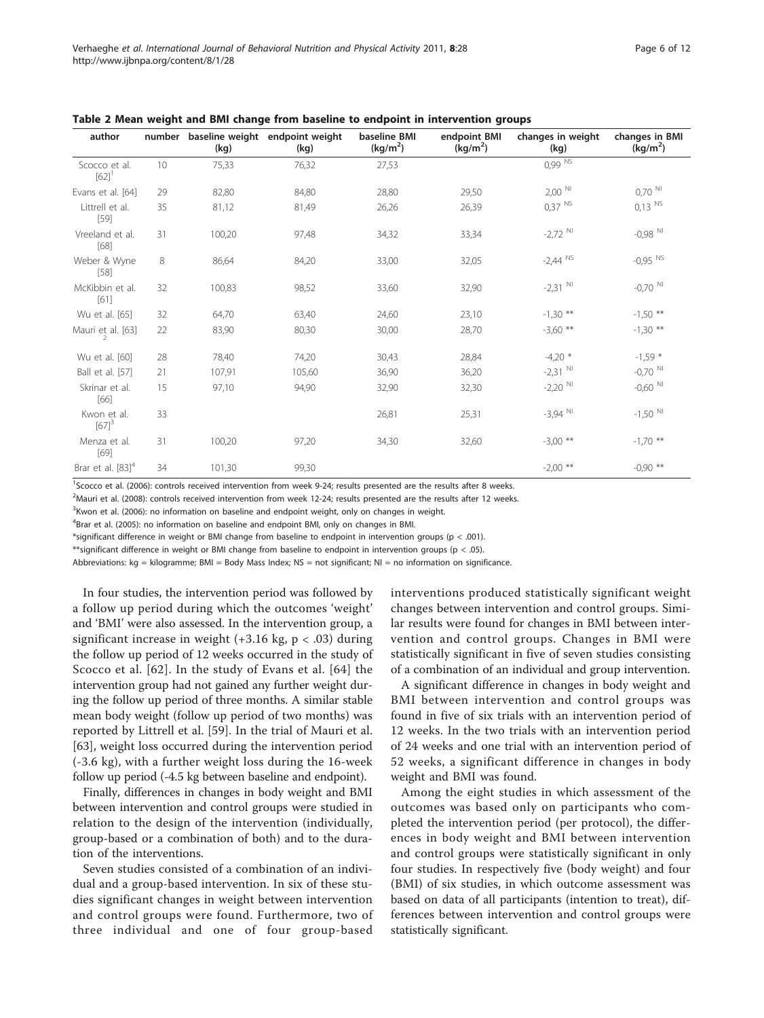| author                               |    | (kg)   | number baseline weight endpoint weight<br>(kg) | baseline BMI<br>(kg/m <sup>2</sup> ) | endpoint BMI<br>(kg/m <sup>2</sup> ) | changes in weight<br>(kg) | changes in BMI<br>(kg/m <sup>2</sup> ) |
|--------------------------------------|----|--------|------------------------------------------------|--------------------------------------|--------------------------------------|---------------------------|----------------------------------------|
| Scocco et al.<br>$[62]$ <sup>1</sup> | 10 | 75,33  | 76,32                                          | 27,53                                |                                      | $0,99$ $\overline{NS}$    |                                        |
| Evans et al. [64]                    | 29 | 82,80  | 84,80                                          | 28,80                                | 29,50                                | $2,00$ <sup>NI</sup>      | $0,70$ <sup>NI</sup>                   |
| Littrell et al.<br>$[59]$            | 35 | 81,12  | 81,49                                          | 26,26                                | 26,39                                | $0.37$ <sup>NS</sup>      | $0,13$ <sup>NS</sup>                   |
| Vreeland et al.<br>[68]              | 31 | 100,20 | 97,48                                          | 34,32                                | 33,34                                | $-2,72$ NI                | $-0.98$ NI                             |
| Weber & Wyne<br>$[58]$               | 8  | 86,64  | 84,20                                          | 33,00                                | 32,05                                | $-2,44$ NS                | $-0.95$ <sup>NS</sup>                  |
| McKibbin et al.<br>[61]              | 32 | 100,83 | 98,52                                          | 33,60                                | 32,90                                | $-2,31$ N                 | $-0,70$ NI                             |
| Wu et al. [65]                       | 32 | 64,70  | 63,40                                          | 24,60                                | 23,10                                | $-1,30$ **                | $-1,50$ **                             |
| Mauri et al. [63]                    | 22 | 83,90  | 80,30                                          | 30,00                                | 28,70                                | $-3,60$ **                | $-1,30$ **                             |
| Wu et al. [60]                       | 28 | 78,40  | 74,20                                          | 30,43                                | 28,84                                | $-4,20$ *                 | $-1,59$ *                              |
| Ball et al. [57]                     | 21 | 107,91 | 105,60                                         | 36,90                                | 36,20                                | $-2,31$ N                 | $-0,70$ NI                             |
| Skrinar et al.<br>[66]               | 15 | 97,10  | 94,90                                          | 32,90                                | 32,30                                | $-2,20$ NI                | $-0,60$ <sup>NI</sup>                  |
| Kwon et al.<br>$[67]$ <sup>3</sup>   | 33 |        |                                                | 26,81                                | 25,31                                | $-3,94$ NI                | $-1,50$ NI                             |
| Menza et al.<br>$[69]$               | 31 | 100,20 | 97,20                                          | 34,30                                | 32,60                                | $-3,00$ **                | $-1,70$ **                             |
| Brar et al. $[83]^{4}$               | 34 | 101,30 | 99,30                                          |                                      |                                      | $-2,00$ **                | $-0,90$ **                             |

<span id="page-5-0"></span>Table 2 Mean weight and BMI change from baseline to endpoint in intervention groups

<sup>1</sup>Scocco et al. (2006): controls received intervention from week 9-24; results presented are the results after 8 weeks.

2 Mauri et al. (2008): controls received intervention from week 12-24; results presented are the results after 12 weeks.

<sup>3</sup> Kwon et al. (2006): no information on baseline and endpoint weight, only on changes in weight.

<sup>4</sup>Brar et al. (2005): no information on baseline and endpoint BMI, only on changes in BMI.

\*significant difference in weight or BMI change from baseline to endpoint in intervention groups (p < .001).

\*\*significant difference in weight or BMI change from baseline to endpoint in intervention groups (p < .05).

Abbreviations: kg = kilogramme; BMI = Body Mass Index; NS = not significant; NI = no information on significance.

In four studies, the intervention period was followed by a follow up period during which the outcomes 'weight' and 'BMI' were also assessed. In the intervention group, a significant increase in weight  $(+3.16 \text{ kg}, \text{p} < .03)$  during the follow up period of 12 weeks occurred in the study of Scocco et al. [[62](#page-10-0)]. In the study of Evans et al. [[64\]](#page-10-0) the intervention group had not gained any further weight during the follow up period of three months. A similar stable mean body weight (follow up period of two months) was reported by Littrell et al. [\[59](#page-10-0)]. In the trial of Mauri et al. [[63\]](#page-10-0), weight loss occurred during the intervention period (-3.6 kg), with a further weight loss during the 16-week follow up period (-4.5 kg between baseline and endpoint).

Finally, differences in changes in body weight and BMI between intervention and control groups were studied in relation to the design of the intervention (individually, group-based or a combination of both) and to the duration of the interventions.

Seven studies consisted of a combination of an individual and a group-based intervention. In six of these studies significant changes in weight between intervention and control groups were found. Furthermore, two of three individual and one of four group-based interventions produced statistically significant weight changes between intervention and control groups. Similar results were found for changes in BMI between intervention and control groups. Changes in BMI were statistically significant in five of seven studies consisting of a combination of an individual and group intervention.

A significant difference in changes in body weight and BMI between intervention and control groups was found in five of six trials with an intervention period of 12 weeks. In the two trials with an intervention period of 24 weeks and one trial with an intervention period of 52 weeks, a significant difference in changes in body weight and BMI was found.

Among the eight studies in which assessment of the outcomes was based only on participants who completed the intervention period (per protocol), the differences in body weight and BMI between intervention and control groups were statistically significant in only four studies. In respectively five (body weight) and four (BMI) of six studies, in which outcome assessment was based on data of all participants (intention to treat), differences between intervention and control groups were statistically significant.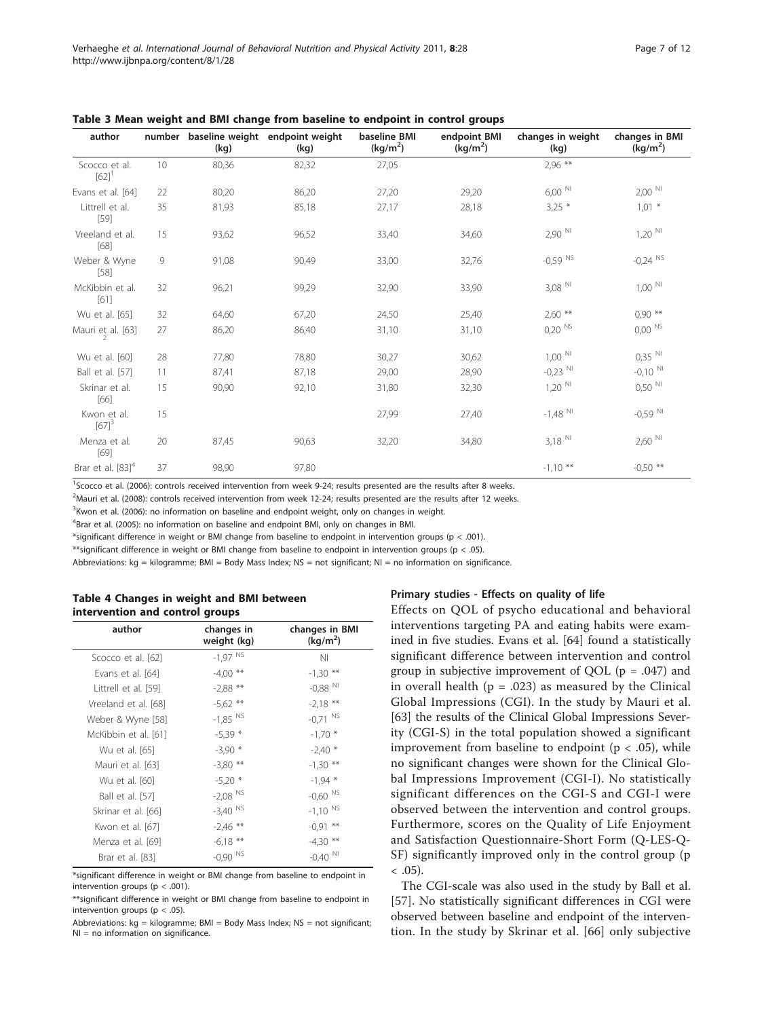| author                               |    | (kg)  | number baseline weight endpoint weight<br>(kg) | baseline BMI<br>(kg/m <sup>2</sup> ) | endpoint BMI<br>(kg/m <sup>2</sup> ) | changes in weight<br>(kg) | changes in BMI<br>(kg/m <sup>2</sup> ) |
|--------------------------------------|----|-------|------------------------------------------------|--------------------------------------|--------------------------------------|---------------------------|----------------------------------------|
| Scocco et al.<br>$[62]$ <sup>1</sup> | 10 | 80,36 | 82,32                                          | 27,05                                |                                      | $2,96$ **                 |                                        |
| Evans et al. [64]                    | 22 | 80,20 | 86,20                                          | 27,20                                | 29,20                                | $6,00$ <sup>NI</sup>      | $2,00$ <sup>NI</sup>                   |
| Littrell et al.<br>$[59]$            | 35 | 81,93 | 85,18                                          | 27,17                                | 28,18                                | $3,25$ *                  | $1,01$ *                               |
| Vreeland et al.<br>[68]              | 15 | 93,62 | 96,52                                          | 33,40                                | 34,60                                | $2,90$ $^{\rm{NI}}$       | $1,20$ $^{\rm{NI}}$                    |
| Weber & Wyne<br>$[58]$               | 9  | 91,08 | 90,49                                          | 33,00                                | 32,76                                | $-0.59$ NS                | $-0.24$ NS                             |
| McKibbin et al.<br>$[61]$            | 32 | 96,21 | 99,29                                          | 32,90                                | 33,90                                | $3,08$ $^{\rm{NI}}$       | $1,00$ $^{\rm{NI}}$                    |
| Wu et al. [65]                       | 32 | 64,60 | 67,20                                          | 24,50                                | 25,40                                | $2,60$ **                 | $0,90$ **                              |
| Mauri et al. [63]                    | 27 | 86,20 | 86,40                                          | 31,10                                | 31,10                                | $0,20$ NS                 | $0,00$ NS                              |
| Wu et al. [60]                       | 28 | 77,80 | 78,80                                          | 30,27                                | 30,62                                | $1,00$ $^{\rm{NI}}$       | $0,35$ NI                              |
| Ball et al. [57]                     | 11 | 87,41 | 87,18                                          | 29,00                                | 28,90                                | $-0.23$ NI                | $-0,10$ NI                             |
| Skrinar et al.<br>[66]               | 15 | 90,90 | 92,10                                          | 31,80                                | 32,30                                | $1,20$ <sup>NI</sup>      | $0,50$ <sup>NI</sup>                   |
| Kwon et al.<br>$[67]^{3}$            | 15 |       |                                                | 27,99                                | 27,40                                | $-1,48$ <sup>NI</sup>     | $-0.59$ <sup>NI</sup>                  |
| Menza et al.<br>$[69]$               | 20 | 87,45 | 90,63                                          | 32,20                                | 34,80                                | $3,18$ $^{\rm{NI}}$       | $2,60$ <sup>NI</sup>                   |
| Brar et al. $[83]^{4}$               | 37 | 98,90 | 97,80                                          |                                      |                                      | $-1,10$ **                | $-0.50$ **                             |

<span id="page-6-0"></span>Table 3 Mean weight and BMI change from baseline to endpoint in control groups

<sup>1</sup>Scocco et al. (2006): controls received intervention from week 9-24; results presented are the results after 8 weeks.

2 Mauri et al. (2008): controls received intervention from week 12-24; results presented are the results after 12 weeks.

<sup>3</sup> Kwon et al. (2006): no information on baseline and endpoint weight, only on changes in weight.

<sup>4</sup>Brar et al. (2005): no information on baseline and endpoint BMI, only on changes in BMI.

\*significant difference in weight or BMI change from baseline to endpoint in intervention groups ( $p < .001$ ).

\*\*significant difference in weight or BMI change from baseline to endpoint in intervention groups (p < .05).

Abbreviations: kg = kilogramme; BMI = Body Mass Index; NS = not significant; NI = no information on significance.

## Table 4 Changes in weight and BMI between intervention and control groups

| author               | changes in<br>weight (kg) | changes in BMI<br>(kq/m <sup>2</sup> ) |
|----------------------|---------------------------|----------------------------------------|
| Scocco et al. [62]   | $-1,97$ <sup>NS</sup>     | ΝI                                     |
| Evans et al. [64]    | $-4,00$ **                | $-1,30$ **                             |
| Littrell et al. [59] | $-2,88$ **                | $-0,88$ NI                             |
| Vreeland et al. [68] | $-5,62$ **                | $-2,18$ **                             |
| Weber & Wyne [58]    | $-1,85$ <sup>NS</sup>     | $-0.71$ NS                             |
| McKibbin et al. [61] | $-5,39*$                  | $-1,70$ *                              |
| Wu et al. [65]       | $-3,90$ *                 | $-2,40*$                               |
| Mauri et al. [63]    | $-3,80$ **                | $-1,30$ **                             |
| Wu et al. [60]       | $-5,20*$                  | $-1,94$ *                              |
| Ball et al. [57]     | $-2,08$ <sup>NS</sup>     | $-0,60$ <sup>NS</sup>                  |
| Skrinar et al. [66]  | $-3,40$ NS                | $-1,10$ NS                             |
| Kwon et al. [67]     | $-2,46$ **                | $-0.91$ **                             |
| Menza et al. [69]    | $-6,18$ **                | $-4,30$ **                             |
| Brar et al. [83]     | $-0,90$ NS                | $-0,40$ NI                             |
|                      |                           |                                        |

\*significant difference in weight or BMI change from baseline to endpoint in intervention groups ( $p < .001$ ).

# Primary studies - Effects on quality of life

Effects on QOL of psycho educational and behavioral interventions targeting PA and eating habits were examined in five studies. Evans et al. [\[64\]](#page-10-0) found a statistically significant difference between intervention and control group in subjective improvement of QOL ( $p = .047$ ) and in overall health ( $p = .023$ ) as measured by the Clinical Global Impressions (CGI). In the study by Mauri et al. [[63\]](#page-10-0) the results of the Clinical Global Impressions Severity (CGI-S) in the total population showed a significant improvement from baseline to endpoint ( $p < .05$ ), while no significant changes were shown for the Clinical Global Impressions Improvement (CGI-I). No statistically significant differences on the CGI-S and CGI-I were observed between the intervention and control groups. Furthermore, scores on the Quality of Life Enjoyment and Satisfaction Questionnaire-Short Form (Q-LES-Q-SF) significantly improved only in the control group (p  $< .05$ ).

The CGI-scale was also used in the study by Ball et al. [[57\]](#page-10-0). No statistically significant differences in CGI were observed between baseline and endpoint of the intervention. In the study by Skrinar et al. [\[66\]](#page-10-0) only subjective

<sup>\*\*</sup>significant difference in weight or BMI change from baseline to endpoint in intervention groups ( $p < .05$ ).

Abbreviations: kg = kilogramme; BMI = Body Mass Index; NS = not significant; NI = no information on significance.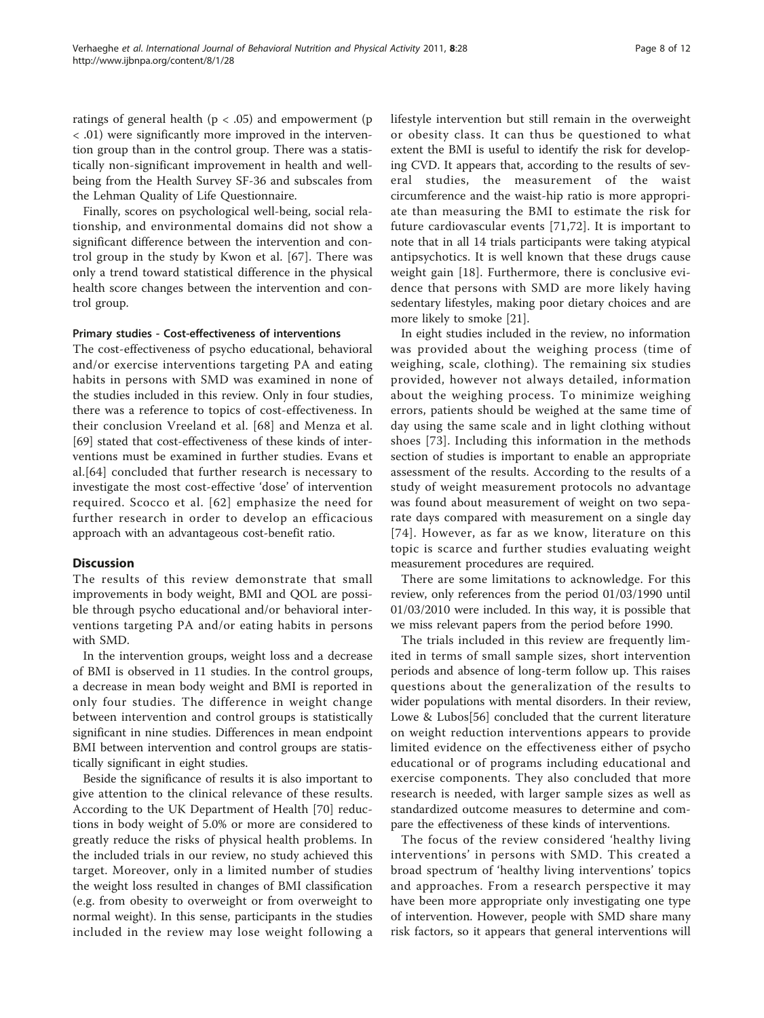ratings of general health ( $p < .05$ ) and empowerment ( $p$ < .01) were significantly more improved in the intervention group than in the control group. There was a statistically non-significant improvement in health and wellbeing from the Health Survey SF-36 and subscales from the Lehman Quality of Life Questionnaire.

Finally, scores on psychological well-being, social relationship, and environmental domains did not show a significant difference between the intervention and control group in the study by Kwon et al. [\[67\]](#page-10-0). There was only a trend toward statistical difference in the physical health score changes between the intervention and control group.

# Primary studies - Cost-effectiveness of interventions

The cost-effectiveness of psycho educational, behavioral and/or exercise interventions targeting PA and eating habits in persons with SMD was examined in none of the studies included in this review. Only in four studies, there was a reference to topics of cost-effectiveness. In their conclusion Vreeland et al. [[68\]](#page-10-0) and Menza et al. [[69\]](#page-10-0) stated that cost-effectiveness of these kinds of interventions must be examined in further studies. Evans et al.[[64](#page-10-0)] concluded that further research is necessary to investigate the most cost-effective 'dose' of intervention required. Scocco et al. [[62](#page-10-0)] emphasize the need for further research in order to develop an efficacious approach with an advantageous cost-benefit ratio.

# **Discussion**

The results of this review demonstrate that small improvements in body weight, BMI and QOL are possible through psycho educational and/or behavioral interventions targeting PA and/or eating habits in persons with SMD.

In the intervention groups, weight loss and a decrease of BMI is observed in 11 studies. In the control groups, a decrease in mean body weight and BMI is reported in only four studies. The difference in weight change between intervention and control groups is statistically significant in nine studies. Differences in mean endpoint BMI between intervention and control groups are statistically significant in eight studies.

Beside the significance of results it is also important to give attention to the clinical relevance of these results. According to the UK Department of Health [\[70](#page-10-0)] reductions in body weight of 5.0% or more are considered to greatly reduce the risks of physical health problems. In the included trials in our review, no study achieved this target. Moreover, only in a limited number of studies the weight loss resulted in changes of BMI classification (e.g. from obesity to overweight or from overweight to normal weight). In this sense, participants in the studies included in the review may lose weight following a lifestyle intervention but still remain in the overweight or obesity class. It can thus be questioned to what extent the BMI is useful to identify the risk for developing CVD. It appears that, according to the results of several studies, the measurement of the waist circumference and the waist-hip ratio is more appropriate than measuring the BMI to estimate the risk for future cardiovascular events [[71,72\]](#page-10-0). It is important to note that in all 14 trials participants were taking atypical antipsychotics. It is well known that these drugs cause weight gain [[18\]](#page-9-0). Furthermore, there is conclusive evidence that persons with SMD are more likely having sedentary lifestyles, making poor dietary choices and are more likely to smoke [[21\]](#page-9-0).

In eight studies included in the review, no information was provided about the weighing process (time of weighing, scale, clothing). The remaining six studies provided, however not always detailed, information about the weighing process. To minimize weighing errors, patients should be weighed at the same time of day using the same scale and in light clothing without shoes [[73](#page-10-0)]. Including this information in the methods section of studies is important to enable an appropriate assessment of the results. According to the results of a study of weight measurement protocols no advantage was found about measurement of weight on two separate days compared with measurement on a single day [[74\]](#page-10-0). However, as far as we know, literature on this topic is scarce and further studies evaluating weight measurement procedures are required.

There are some limitations to acknowledge. For this review, only references from the period 01/03/1990 until 01/03/2010 were included. In this way, it is possible that we miss relevant papers from the period before 1990.

The trials included in this review are frequently limited in terms of small sample sizes, short intervention periods and absence of long-term follow up. This raises questions about the generalization of the results to wider populations with mental disorders. In their review, Lowe & Lubos[[56\]](#page-10-0) concluded that the current literature on weight reduction interventions appears to provide limited evidence on the effectiveness either of psycho educational or of programs including educational and exercise components. They also concluded that more research is needed, with larger sample sizes as well as standardized outcome measures to determine and compare the effectiveness of these kinds of interventions.

The focus of the review considered 'healthy living interventions' in persons with SMD. This created a broad spectrum of 'healthy living interventions' topics and approaches. From a research perspective it may have been more appropriate only investigating one type of intervention. However, people with SMD share many risk factors, so it appears that general interventions will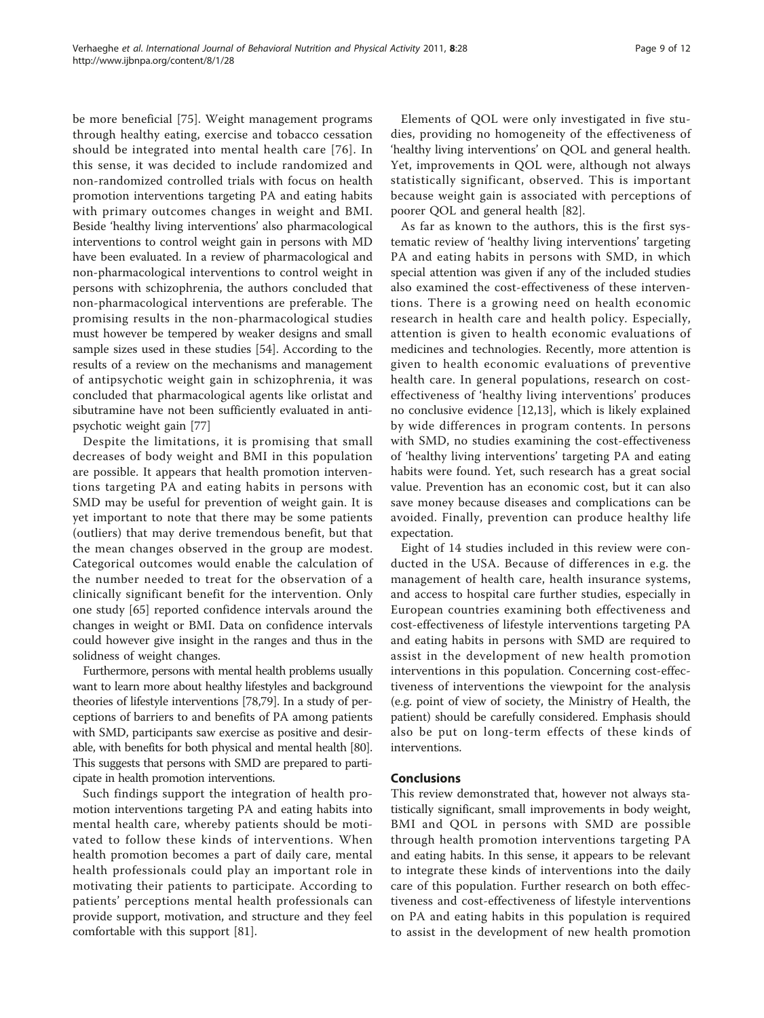be more beneficial [\[75](#page-10-0)]. Weight management programs through healthy eating, exercise and tobacco cessation should be integrated into mental health care [[76\]](#page-10-0). In this sense, it was decided to include randomized and non-randomized controlled trials with focus on health promotion interventions targeting PA and eating habits with primary outcomes changes in weight and BMI. Beside 'healthy living interventions' also pharmacological interventions to control weight gain in persons with MD have been evaluated. In a review of pharmacological and non-pharmacological interventions to control weight in persons with schizophrenia, the authors concluded that non-pharmacological interventions are preferable. The promising results in the non-pharmacological studies must however be tempered by weaker designs and small sample sizes used in these studies [\[54](#page-10-0)]. According to the results of a review on the mechanisms and management of antipsychotic weight gain in schizophrenia, it was concluded that pharmacological agents like orlistat and

psychotic weight gain [[77](#page-10-0)] Despite the limitations, it is promising that small decreases of body weight and BMI in this population are possible. It appears that health promotion interventions targeting PA and eating habits in persons with SMD may be useful for prevention of weight gain. It is yet important to note that there may be some patients (outliers) that may derive tremendous benefit, but that the mean changes observed in the group are modest. Categorical outcomes would enable the calculation of the number needed to treat for the observation of a clinically significant benefit for the intervention. Only one study [[65\]](#page-10-0) reported confidence intervals around the changes in weight or BMI. Data on confidence intervals could however give insight in the ranges and thus in the solidness of weight changes.

sibutramine have not been sufficiently evaluated in anti-

Furthermore, persons with mental health problems usually want to learn more about healthy lifestyles and background theories of lifestyle interventions [[78,79\]](#page-10-0). In a study of perceptions of barriers to and benefits of PA among patients with SMD, participants saw exercise as positive and desirable, with benefits for both physical and mental health [\[80](#page-11-0)]. This suggests that persons with SMD are prepared to participate in health promotion interventions.

Such findings support the integration of health promotion interventions targeting PA and eating habits into mental health care, whereby patients should be motivated to follow these kinds of interventions. When health promotion becomes a part of daily care, mental health professionals could play an important role in motivating their patients to participate. According to patients' perceptions mental health professionals can provide support, motivation, and structure and they feel comfortable with this support [\[81](#page-11-0)].

Elements of QOL were only investigated in five studies, providing no homogeneity of the effectiveness of 'healthy living interventions' on QOL and general health. Yet, improvements in QOL were, although not always statistically significant, observed. This is important because weight gain is associated with perceptions of poorer QOL and general health [\[82](#page-11-0)].

As far as known to the authors, this is the first systematic review of 'healthy living interventions' targeting PA and eating habits in persons with SMD, in which special attention was given if any of the included studies also examined the cost-effectiveness of these interventions. There is a growing need on health economic research in health care and health policy. Especially, attention is given to health economic evaluations of medicines and technologies. Recently, more attention is given to health economic evaluations of preventive health care. In general populations, research on costeffectiveness of 'healthy living interventions' produces no conclusive evidence [\[12](#page-9-0),[13](#page-9-0)], which is likely explained by wide differences in program contents. In persons with SMD, no studies examining the cost-effectiveness of 'healthy living interventions' targeting PA and eating habits were found. Yet, such research has a great social value. Prevention has an economic cost, but it can also save money because diseases and complications can be avoided. Finally, prevention can produce healthy life expectation.

Eight of 14 studies included in this review were conducted in the USA. Because of differences in e.g. the management of health care, health insurance systems, and access to hospital care further studies, especially in European countries examining both effectiveness and cost-effectiveness of lifestyle interventions targeting PA and eating habits in persons with SMD are required to assist in the development of new health promotion interventions in this population. Concerning cost-effectiveness of interventions the viewpoint for the analysis (e.g. point of view of society, the Ministry of Health, the patient) should be carefully considered. Emphasis should also be put on long-term effects of these kinds of interventions.

# Conclusions

This review demonstrated that, however not always statistically significant, small improvements in body weight, BMI and QOL in persons with SMD are possible through health promotion interventions targeting PA and eating habits. In this sense, it appears to be relevant to integrate these kinds of interventions into the daily care of this population. Further research on both effectiveness and cost-effectiveness of lifestyle interventions on PA and eating habits in this population is required to assist in the development of new health promotion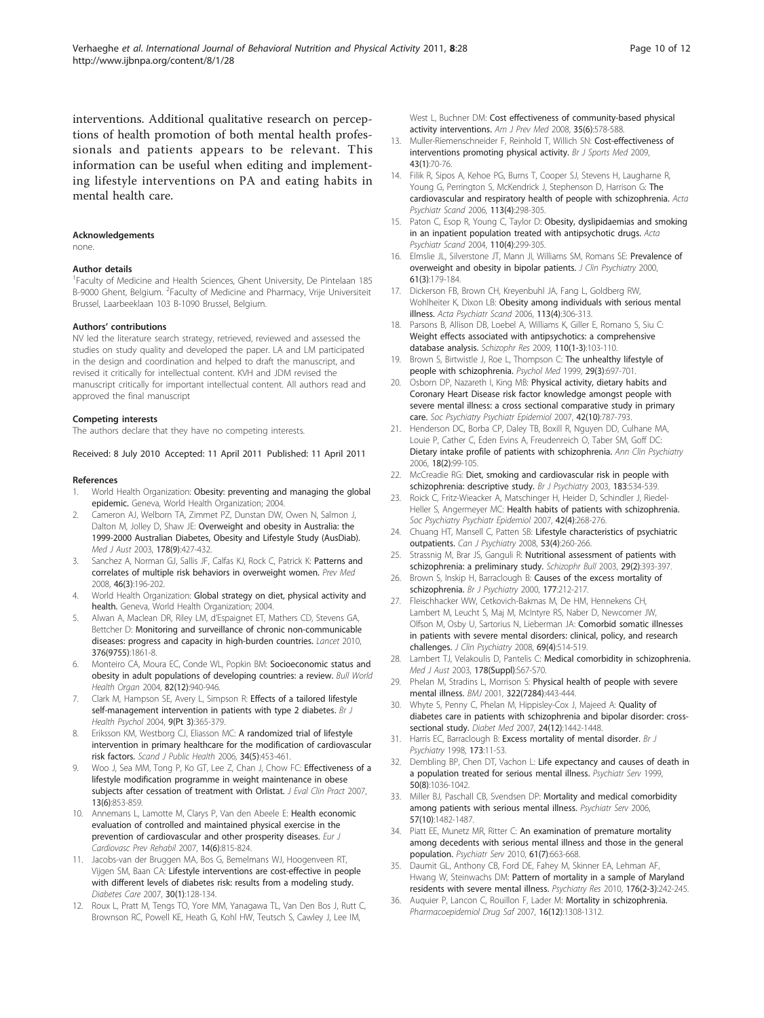<span id="page-9-0"></span>interventions. Additional qualitative research on perceptions of health promotion of both mental health professionals and patients appears to be relevant. This information can be useful when editing and implementing lifestyle interventions on PA and eating habits in mental health care.

#### **Acknowledgements**

none.

#### Author details

<sup>1</sup>Faculty of Medicine and Health Sciences, Ghent University, De Pintelaan 185 B-9000 Ghent, Belgium. <sup>2</sup> Faculty of Medicine and Pharmacy, Vrije Universiteit Brussel, Laarbeeklaan 103 B-1090 Brussel, Belgium.

#### Authors' contributions

NV led the literature search strategy, retrieved, reviewed and assessed the studies on study quality and developed the paper. LA and LM participated in the design and coordination and helped to draft the manuscript, and revised it critically for intellectual content. KVH and JDM revised the manuscript critically for important intellectual content. All authors read and approved the final manuscript

#### Competing interests

The authors declare that they have no competing interests.

Received: 8 July 2010 Accepted: 11 April 2011 Published: 11 April 2011

#### References

- 1. World Health Organization: Obesity: preventing and managing the global epidemic. Geneva, World Health Organization; 2004.
- Cameron AJ, Welborn TA, Zimmet PZ, Dunstan DW, Owen N, Salmon J, Dalton M, Jolley D, Shaw JE: [Overweight and obesity in Australia: the](http://www.ncbi.nlm.nih.gov/pubmed/12720507?dopt=Abstract) [1999-2000 Australian Diabetes, Obesity and Lifestyle Study \(AusDiab\).](http://www.ncbi.nlm.nih.gov/pubmed/12720507?dopt=Abstract) Med J Aust 2003, 178(9):427-432.
- 3. Sanchez A, Norman GJ, Sallis JF, Calfas KJ, Rock C, Patrick K: [Patterns and](http://www.ncbi.nlm.nih.gov/pubmed/18022220?dopt=Abstract) [correlates of multiple risk behaviors in overweight women.](http://www.ncbi.nlm.nih.gov/pubmed/18022220?dopt=Abstract) Prev Med 2008, 46(3):196-202.
- 4. World Health Organization: Global strategy on diet, physical activity and health. Geneva, World Health Organization; 2004.
- 5. Alwan A, Maclean DR, Riley LM, d'Espaignet ET, Mathers CD, Stevens GA, Bettcher D: [Monitoring and surveillance of chronic non-communicable](http://www.ncbi.nlm.nih.gov/pubmed/21074258?dopt=Abstract) [diseases: progress and capacity in high-burden countries.](http://www.ncbi.nlm.nih.gov/pubmed/21074258?dopt=Abstract) Lancet 2010, 376(9755):1861-8.
- 6. Monteiro CA, Moura EC, Conde WL, Popkin BM: [Socioeconomic status and](http://www.ncbi.nlm.nih.gov/pubmed/15654409?dopt=Abstract) [obesity in adult populations of developing countries: a review.](http://www.ncbi.nlm.nih.gov/pubmed/15654409?dopt=Abstract) Bull World Health Organ 2004, 82(12):940-946.
- Clark M, Hampson SE, Avery L, Simpson R: [Effects of a tailored lifestyle](http://www.ncbi.nlm.nih.gov/pubmed/15296683?dopt=Abstract) [self-management intervention in patients with type 2 diabetes.](http://www.ncbi.nlm.nih.gov/pubmed/15296683?dopt=Abstract) Br J Health Psychol 2004, 9(Pt 3):365-379.
- 8. Eriksson KM, Westborg CJ, Eliasson MC: [A randomized trial of lifestyle](http://www.ncbi.nlm.nih.gov/pubmed/16990155?dopt=Abstract) [intervention in primary healthcare for the modification of cardiovascular](http://www.ncbi.nlm.nih.gov/pubmed/16990155?dopt=Abstract) [risk factors.](http://www.ncbi.nlm.nih.gov/pubmed/16990155?dopt=Abstract) Scand J Public Health 2006, 34(5):453-461.
- Woo J, Sea MM, Tong P, Ko GT, Lee Z, Chan J, Chow FC: [Effectiveness of a](http://www.ncbi.nlm.nih.gov/pubmed/18070255?dopt=Abstract) [lifestyle modification programme in weight maintenance in obese](http://www.ncbi.nlm.nih.gov/pubmed/18070255?dopt=Abstract) [subjects after cessation of treatment with Orlistat.](http://www.ncbi.nlm.nih.gov/pubmed/18070255?dopt=Abstract) J Eval Clin Pract 2007, 13(6):853-859.
- 10. Annemans L, Lamotte M, Clarys P, Van den Abeele E: [Health economic](http://www.ncbi.nlm.nih.gov/pubmed/18043305?dopt=Abstract) [evaluation of controlled and maintained physical exercise in the](http://www.ncbi.nlm.nih.gov/pubmed/18043305?dopt=Abstract) [prevention of cardiovascular and other prosperity diseases.](http://www.ncbi.nlm.nih.gov/pubmed/18043305?dopt=Abstract) Eur J Cardiovasc Prev Rehabil 2007, 14(6):815-824.
- 11. Jacobs-van der Bruggen MA, Bos G, Bemelmans WJ, Hoogenveen RT, Vijgen SM, Baan CA: [Lifestyle interventions are cost-effective in people](http://www.ncbi.nlm.nih.gov/pubmed/17192345?dopt=Abstract) [with different levels of diabetes risk: results from a modeling study.](http://www.ncbi.nlm.nih.gov/pubmed/17192345?dopt=Abstract) Diabetes Care 2007, 30(1):128-134.
- 12. Roux L, Pratt M, Tengs TO, Yore MM, Yanagawa TL, Van Den Bos J, Rutt C, Brownson RC, Powell KE, Heath G, Kohl HW, Teutsch S, Cawley J, Lee IM,

West L, Buchner DM: [Cost effectiveness of community-based physical](http://www.ncbi.nlm.nih.gov/pubmed/19000846?dopt=Abstract) [activity interventions.](http://www.ncbi.nlm.nih.gov/pubmed/19000846?dopt=Abstract) Am J Prev Med 2008, 35(6):578-588.

- 13. Muller-Riemenschneider F, Reinhold T, Willich SN: [Cost-effectiveness of](http://www.ncbi.nlm.nih.gov/pubmed/18971249?dopt=Abstract) [interventions promoting physical activity.](http://www.ncbi.nlm.nih.gov/pubmed/18971249?dopt=Abstract) Br J Sports Med 2009, 43(1):70-76.
- 14. Filik R, Sipos A, Kehoe PG, Burns T, Cooper SJ, Stevens H, Laugharne R, Young G, Perrington S, McKendrick J, Stephenson D, Harrison G: [The](http://www.ncbi.nlm.nih.gov/pubmed/16638074?dopt=Abstract) [cardiovascular and respiratory health of people with schizophrenia.](http://www.ncbi.nlm.nih.gov/pubmed/16638074?dopt=Abstract) Acta Psychiatr Scand 2006, 113(4):298-305.
- 15. Paton C, Esop R, Young C, Taylor D: [Obesity, dyslipidaemias and smoking](http://www.ncbi.nlm.nih.gov/pubmed/15352932?dopt=Abstract) [in an inpatient population treated with antipsychotic drugs.](http://www.ncbi.nlm.nih.gov/pubmed/15352932?dopt=Abstract) Acta Psychiatr Scand 2004, 110(4):299-305.
- 16. Elmslie JL, Silverstone JT, Mann JI, Williams SM, Romans SE: [Prevalence of](http://www.ncbi.nlm.nih.gov/pubmed/10817102?dopt=Abstract) [overweight and obesity in bipolar patients.](http://www.ncbi.nlm.nih.gov/pubmed/10817102?dopt=Abstract) J Clin Psychiatry 2000, 61(3):179-184.
- 17. Dickerson FB, Brown CH, Kreyenbuhl JA, Fang L, Goldberg RW, Wohlheiter K, Dixon LB: [Obesity among individuals with serious mental](http://www.ncbi.nlm.nih.gov/pubmed/16638075?dopt=Abstract) [illness.](http://www.ncbi.nlm.nih.gov/pubmed/16638075?dopt=Abstract) Acta Psychiatr Scand 2006, 113(4):306-313.
- 18. Parsons B, Allison DB, Loebel A, Williams K, Giller E, Romano S, Siu C: [Weight effects associated with antipsychotics: a comprehensive](http://www.ncbi.nlm.nih.gov/pubmed/19321312?dopt=Abstract) [database analysis.](http://www.ncbi.nlm.nih.gov/pubmed/19321312?dopt=Abstract) Schizophr Res 2009, 110(1-3):103-110.
- 19. Brown S, Birtwistle J, Roe L, Thompson C: [The unhealthy lifestyle of](http://www.ncbi.nlm.nih.gov/pubmed/10405091?dopt=Abstract) [people with schizophrenia.](http://www.ncbi.nlm.nih.gov/pubmed/10405091?dopt=Abstract) Psychol Med 1999, 29(3):697-701.
- 20. Osborn DP, Nazareth I, King MB: [Physical activity, dietary habits and](http://www.ncbi.nlm.nih.gov/pubmed/17721669?dopt=Abstract) [Coronary Heart Disease risk factor knowledge amongst people with](http://www.ncbi.nlm.nih.gov/pubmed/17721669?dopt=Abstract) [severe mental illness: a cross sectional comparative study in primary](http://www.ncbi.nlm.nih.gov/pubmed/17721669?dopt=Abstract) [care.](http://www.ncbi.nlm.nih.gov/pubmed/17721669?dopt=Abstract) Soc Psychiatry Psychiatr Epidemiol 2007, 42(10):787-793.
- 21. Henderson DC, Borba CP, Daley TB, Boxill R, Nguyen DD, Culhane MA, Louie P, Cather C, Eden Evins A, Freudenreich O, Taber SM, Goff DC: [Dietary intake profile of patients with schizophrenia.](http://www.ncbi.nlm.nih.gov/pubmed/16754415?dopt=Abstract) Ann Clin Psychiatry 2006, 18(2):99-105.
- 22. McCreadie RG: [Diet, smoking and cardiovascular risk in people with](http://www.ncbi.nlm.nih.gov/pubmed/14645025?dopt=Abstract) [schizophrenia: descriptive study.](http://www.ncbi.nlm.nih.gov/pubmed/14645025?dopt=Abstract) Br J Psychiatry 2003, 183:534-539.
- 23. Roick C, Fritz-Wieacker A, Matschinger H, Heider D, Schindler J, Riedel-Heller S, Angermeyer MC: [Health habits of patients with schizophrenia.](http://www.ncbi.nlm.nih.gov/pubmed/17370043?dopt=Abstract) Soc Psychiatry Psychiatr Epidemiol 2007, 42(4):268-276.
- 24. Chuang HT, Mansell C, Patten SB: [Lifestyle characteristics of psychiatric](http://www.ncbi.nlm.nih.gov/pubmed/18478829?dopt=Abstract) [outpatients.](http://www.ncbi.nlm.nih.gov/pubmed/18478829?dopt=Abstract) Can J Psychiatry 2008, 53(4):260-266.
- 25. Strassnig M, Brar JS, Ganguli R: [Nutritional assessment of patients with](http://www.ncbi.nlm.nih.gov/pubmed/14552512?dopt=Abstract) [schizophrenia: a preliminary study.](http://www.ncbi.nlm.nih.gov/pubmed/14552512?dopt=Abstract) Schizophr Bull 2003, 29(2):393-397.
- 26. Brown S, Inskip H, Barraclough B: [Causes of the excess mortality of](http://www.ncbi.nlm.nih.gov/pubmed/11040880?dopt=Abstract) [schizophrenia.](http://www.ncbi.nlm.nih.gov/pubmed/11040880?dopt=Abstract) Br J Psychiatry 2000, 177:212-217.
- 27. Fleischhacker WW, Cetkovich-Bakmas M, De HM, Hennekens CH, Lambert M, Leucht S, Maj M, McIntyre RS, Naber D, Newcomer JW, Olfson M, Osby U, Sartorius N, Lieberman JA: [Comorbid somatic illnesses](http://www.ncbi.nlm.nih.gov/pubmed/18370570?dopt=Abstract) [in patients with severe mental disorders: clinical, policy, and research](http://www.ncbi.nlm.nih.gov/pubmed/18370570?dopt=Abstract) [challenges.](http://www.ncbi.nlm.nih.gov/pubmed/18370570?dopt=Abstract) J Clin Psychiatry 2008, 69(4):514-519.
- 28. Lambert TJ, Velakoulis D, Pantelis C: [Medical comorbidity in schizophrenia.](http://www.ncbi.nlm.nih.gov/pubmed/12720526?dopt=Abstract) Med J Aust 2003, 178(Suppl):S67-S70.
- 29. Phelan M, Stradins L, Morrison S: [Physical health of people with severe](http://www.ncbi.nlm.nih.gov/pubmed/11222406?dopt=Abstract) [mental illness.](http://www.ncbi.nlm.nih.gov/pubmed/11222406?dopt=Abstract) BMJ 2001, 322(7284):443-444.
- 30. Whyte S, Penny C, Phelan M, Hippisley-Cox J, Majeed A: [Quality of](http://www.ncbi.nlm.nih.gov/pubmed/18042084?dopt=Abstract) [diabetes care in patients with schizophrenia and bipolar disorder: cross](http://www.ncbi.nlm.nih.gov/pubmed/18042084?dopt=Abstract)[sectional study.](http://www.ncbi.nlm.nih.gov/pubmed/18042084?dopt=Abstract) Diabet Med 2007, 24(12):1442-1448.
- 31. Harris EC, Barraclough B: [Excess mortality of mental disorder.](http://www.ncbi.nlm.nih.gov/pubmed/9850203?dopt=Abstract) Br J Psychiatry 1998, 173:11-53.
- 32. Dembling BP, Chen DT, Vachon L: [Life expectancy and causes of death in](http://www.ncbi.nlm.nih.gov/pubmed/10445651?dopt=Abstract) [a population treated for serious mental illness.](http://www.ncbi.nlm.nih.gov/pubmed/10445651?dopt=Abstract) Psychiatr Serv 1999, 50(8):1036-1042.
- 33. Miller BJ, Paschall CB, Svendsen DP: [Mortality and medical comorbidity](http://www.ncbi.nlm.nih.gov/pubmed/17035569?dopt=Abstract) [among patients with serious mental illness.](http://www.ncbi.nlm.nih.gov/pubmed/17035569?dopt=Abstract) Psychiatr Serv 2006, 57(10):1482-1487.
- 34. Piatt EE, Munetz MR, Ritter C: [An examination of premature mortality](http://www.ncbi.nlm.nih.gov/pubmed/20592000?dopt=Abstract) [among decedents with serious mental illness and those in the general](http://www.ncbi.nlm.nih.gov/pubmed/20592000?dopt=Abstract) [population.](http://www.ncbi.nlm.nih.gov/pubmed/20592000?dopt=Abstract) Psychiatr Serv 2010, 61(7):663-668.
- 35. Daumit GL, Anthony CB, Ford DE, Fahey M, Skinner EA, Lehman AF, Hwang W, Steinwachs DM: [Pattern of mortality in a sample of Maryland](http://www.ncbi.nlm.nih.gov/pubmed/20207013?dopt=Abstract) [residents with severe mental illness.](http://www.ncbi.nlm.nih.gov/pubmed/20207013?dopt=Abstract) Psychiatry Res 2010, 176(2-3):242-245.
- Auquier P, Lancon C, Rouillon F, Lader M: [Mortality in schizophrenia.](http://www.ncbi.nlm.nih.gov/pubmed/17944000?dopt=Abstract) Pharmacoepidemiol Drug Saf 2007, 16(12):1308-1312.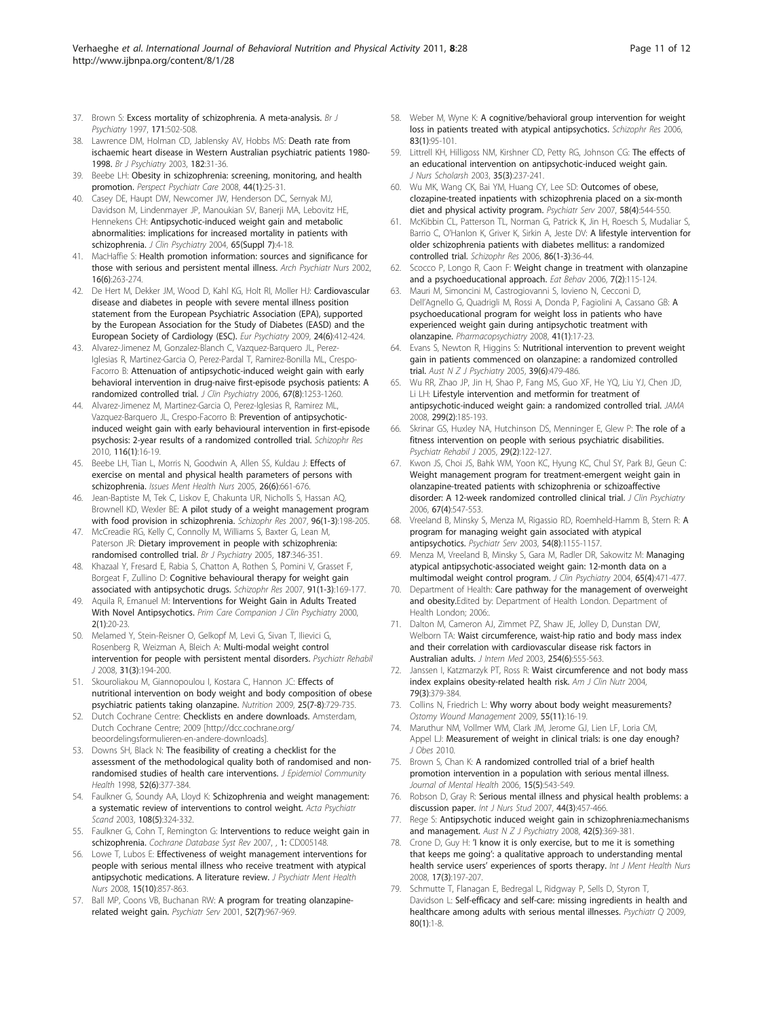- <span id="page-10-0"></span>37. Brown S: [Excess mortality of schizophrenia. A meta-analysis.](http://www.ncbi.nlm.nih.gov/pubmed/9519087?dopt=Abstract) Br J Psychiatry 1997, 171:502-508.
- 38. Lawrence DM, Holman CD, Jablensky AV, Hobbs MS: [Death rate from](http://www.ncbi.nlm.nih.gov/pubmed/12509315?dopt=Abstract) [ischaemic heart disease in Western Australian psychiatric patients 1980-](http://www.ncbi.nlm.nih.gov/pubmed/12509315?dopt=Abstract) [1998.](http://www.ncbi.nlm.nih.gov/pubmed/12509315?dopt=Abstract) Br J Psychiatry 2003, 182:31-36.
- 39. Beebe LH: [Obesity in schizophrenia: screening, monitoring, and health](http://www.ncbi.nlm.nih.gov/pubmed/18177275?dopt=Abstract) [promotion.](http://www.ncbi.nlm.nih.gov/pubmed/18177275?dopt=Abstract) Perspect Psychiatr Care 2008, 44(1):25-31.
- 40. Casey DE, Haupt DW, Newcomer JW, Henderson DC, Sernyak MJ, Davidson M, Lindenmayer JP, Manoukian SV, Banerji MA, Lebovitz HE, Hennekens CH: [Antipsychotic-induced weight gain and metabolic](http://www.ncbi.nlm.nih.gov/pubmed/15151456?dopt=Abstract) [abnormalities: implications for increased mortality in patients with](http://www.ncbi.nlm.nih.gov/pubmed/15151456?dopt=Abstract) [schizophrenia.](http://www.ncbi.nlm.nih.gov/pubmed/15151456?dopt=Abstract) J Clin Psychiatry 2004, 65(Suppl 7):4-18.
- 41. MacHaffie S: [Health promotion information: sources and significance for](http://www.ncbi.nlm.nih.gov/pubmed/12567374?dopt=Abstract) [those with serious and persistent mental illness.](http://www.ncbi.nlm.nih.gov/pubmed/12567374?dopt=Abstract) Arch Psychiatr Nurs 2002, 16(6):263-274.
- 42. De Hert M, Dekker JM, Wood D, Kahl KG, Holt RI, Moller HJ: [Cardiovascular](http://www.ncbi.nlm.nih.gov/pubmed/19682863?dopt=Abstract) [disease and diabetes in people with severe mental illness position](http://www.ncbi.nlm.nih.gov/pubmed/19682863?dopt=Abstract) [statement from the European Psychiatric Association \(EPA\), supported](http://www.ncbi.nlm.nih.gov/pubmed/19682863?dopt=Abstract) [by the European Association for the Study of Diabetes \(EASD\) and the](http://www.ncbi.nlm.nih.gov/pubmed/19682863?dopt=Abstract) [European Society of Cardiology \(ESC\).](http://www.ncbi.nlm.nih.gov/pubmed/19682863?dopt=Abstract) Eur Psychiatry 2009, 24(6):412-424.
- 43. Alvarez-Jimenez M, Gonzalez-Blanch C, Vazquez-Barquero JL, Perez-Iglesias R, Martinez-Garcia O, Perez-Pardal T, Ramirez-Bonilla ML, Crespo-Facorro B: [Attenuation of antipsychotic-induced weight gain with early](http://www.ncbi.nlm.nih.gov/pubmed/16965204?dopt=Abstract) [behavioral intervention in drug-naive first-episode psychosis patients: A](http://www.ncbi.nlm.nih.gov/pubmed/16965204?dopt=Abstract) [randomized controlled trial.](http://www.ncbi.nlm.nih.gov/pubmed/16965204?dopt=Abstract) J Clin Psychiatry 2006, 67(8):1253-1260.
- 44. Alvarez-Jimenez M, Martinez-Garcia O, Perez-Iglesias R, Ramirez ML, Vazquez-Barquero JL, Crespo-Facorro B: [Prevention of antipsychotic](http://www.ncbi.nlm.nih.gov/pubmed/19896336?dopt=Abstract)[induced weight gain with early behavioural intervention in first-episode](http://www.ncbi.nlm.nih.gov/pubmed/19896336?dopt=Abstract) [psychosis: 2-year results of a randomized controlled trial.](http://www.ncbi.nlm.nih.gov/pubmed/19896336?dopt=Abstract) Schizophr Res 2010, 116(1):16-19.
- 45. Beebe LH, Tian L, Morris N, Goodwin A, Allen SS, Kuldau J: [Effects of](http://www.ncbi.nlm.nih.gov/pubmed/16020076?dopt=Abstract) [exercise on mental and physical health parameters of persons with](http://www.ncbi.nlm.nih.gov/pubmed/16020076?dopt=Abstract) [schizophrenia.](http://www.ncbi.nlm.nih.gov/pubmed/16020076?dopt=Abstract) Issues Ment Health Nurs 2005, 26(6):661-676.
- 46. Jean-Baptiste M, Tek C, Liskov E, Chakunta UR, Nicholls S, Hassan AQ, Brownell KD, Wexler BE: [A pilot study of a weight management program](http://www.ncbi.nlm.nih.gov/pubmed/17628437?dopt=Abstract) [with food provision in schizophrenia.](http://www.ncbi.nlm.nih.gov/pubmed/17628437?dopt=Abstract) Schizophr Res 2007, 96(1-3):198-205.
- 47. McCreadie RG, Kelly C, Connolly M, Williams S, Baxter G, Lean M, Paterson JR: [Dietary improvement in people with schizophrenia:](http://www.ncbi.nlm.nih.gov/pubmed/16199794?dopt=Abstract) [randomised controlled trial.](http://www.ncbi.nlm.nih.gov/pubmed/16199794?dopt=Abstract) Br J Psychiatry 2005, 187:346-351.
- 48. Khazaal Y, Fresard E, Rabia S, Chatton A, Rothen S, Pomini V, Grasset F, Borgeat F, Zullino D: [Cognitive behavioural therapy for weight gain](http://www.ncbi.nlm.nih.gov/pubmed/17306507?dopt=Abstract) [associated with antipsychotic drugs.](http://www.ncbi.nlm.nih.gov/pubmed/17306507?dopt=Abstract) Schizophr Res 2007, 91(1-3):169-177.
- 49. Aquila R, Emanuel M: [Interventions for Weight Gain in Adults Treated](http://www.ncbi.nlm.nih.gov/pubmed/15014664?dopt=Abstract) [With Novel Antipsychotics.](http://www.ncbi.nlm.nih.gov/pubmed/15014664?dopt=Abstract) Prim Care Companion J Clin Psychiatry 2000, 2(1):20-23.
- 50. Melamed Y, Stein-Reisner O, Gelkopf M, Levi G, Sivan T, Ilievici G, Rosenberg R, Weizman A, Bleich A: [Multi-modal weight control](http://www.ncbi.nlm.nih.gov/pubmed/18194946?dopt=Abstract) [intervention for people with persistent mental disorders.](http://www.ncbi.nlm.nih.gov/pubmed/18194946?dopt=Abstract) Psychiatr Rehabil J 2008, 31(3):194-200.
- 51. Skouroliakou M, Giannopoulou I, Kostara C, Hannon JC: [Effects of](http://www.ncbi.nlm.nih.gov/pubmed/19286349?dopt=Abstract) [nutritional intervention on body weight and body composition of obese](http://www.ncbi.nlm.nih.gov/pubmed/19286349?dopt=Abstract) [psychiatric patients taking olanzapine.](http://www.ncbi.nlm.nih.gov/pubmed/19286349?dopt=Abstract) Nutrition 2009, 25(7-8):729-735.
- 52. Dutch Cochrane Centre: Checklists en andere downloads. Amsterdam, Dutch Cochrane Centre; 2009 [[http://dcc.cochrane.org/](http://dcc.cochrane.org/beoordelingsformulieren-en-andere-downloads) [beoordelingsformulieren-en-andere-downloads\]](http://dcc.cochrane.org/beoordelingsformulieren-en-andere-downloads).
- 53. Downs SH, Black N: [The feasibility of creating a checklist for the](http://www.ncbi.nlm.nih.gov/pubmed/9764259?dopt=Abstract) [assessment of the methodological quality both of randomised and non](http://www.ncbi.nlm.nih.gov/pubmed/9764259?dopt=Abstract)[randomised studies of health care interventions.](http://www.ncbi.nlm.nih.gov/pubmed/9764259?dopt=Abstract) J Epidemiol Community Health 1998, 52(6):377-384.
- 54. Faulkner G, Soundy AA, Lloyd K: [Schizophrenia and weight management:](http://www.ncbi.nlm.nih.gov/pubmed/14531752?dopt=Abstract) [a systematic review of interventions to control weight.](http://www.ncbi.nlm.nih.gov/pubmed/14531752?dopt=Abstract) Acta Psychiatr Scand 2003, 108(5):324-332.
- 55. Faulkner G, Cohn T, Remington G: [Interventions to reduce weight gain in](http://www.ncbi.nlm.nih.gov/pubmed/17253540?dopt=Abstract) [schizophrenia.](http://www.ncbi.nlm.nih.gov/pubmed/17253540?dopt=Abstract) Cochrane Database Syst Rev 2007, , 1: CD005148.
- 56. Lowe T, Lubos E: [Effectiveness of weight management interventions for](http://www.ncbi.nlm.nih.gov/pubmed/19012677?dopt=Abstract) [people with serious mental illness who receive treatment with atypical](http://www.ncbi.nlm.nih.gov/pubmed/19012677?dopt=Abstract) [antipsychotic medications. A literature review.](http://www.ncbi.nlm.nih.gov/pubmed/19012677?dopt=Abstract) J Psychiatr Ment Health Nurs 2008, 15(10):857-863.
- 57. Ball MP, Coons VB, Buchanan RW: [A program for treating olanzapine](http://www.ncbi.nlm.nih.gov/pubmed/11433117?dopt=Abstract)[related weight gain.](http://www.ncbi.nlm.nih.gov/pubmed/11433117?dopt=Abstract) Psychiatr Serv 2001, 52(7):967-969.
- 58. Weber M, Wyne K: [A cognitive/behavioral group intervention for weight](http://www.ncbi.nlm.nih.gov/pubmed/16507343?dopt=Abstract) [loss in patients treated with atypical antipsychotics.](http://www.ncbi.nlm.nih.gov/pubmed/16507343?dopt=Abstract) Schizophr Res 2006, 83(1):95-101.
- 59. Littrell KH, Hilligoss NM, Kirshner CD, Petty RG, Johnson CG: [The effects of](http://www.ncbi.nlm.nih.gov/pubmed/14562491?dopt=Abstract) [an educational intervention on antipsychotic-induced weight gain.](http://www.ncbi.nlm.nih.gov/pubmed/14562491?dopt=Abstract) J Nurs Scholarsh 2003, 35(3):237-241.
- 60. Wu MK, Wang CK, Bai YM, Huang CY, Lee SD: [Outcomes of obese,](http://www.ncbi.nlm.nih.gov/pubmed/17412858?dopt=Abstract) [clozapine-treated inpatients with schizophrenia placed on a six-month](http://www.ncbi.nlm.nih.gov/pubmed/17412858?dopt=Abstract) [diet and physical activity program.](http://www.ncbi.nlm.nih.gov/pubmed/17412858?dopt=Abstract) Psychiatr Serv 2007, 58(4):544-550.
- 61. McKibbin CL, Patterson TL, Norman G, Patrick K, Jin H, Roesch S, Mudaliar S, Barrio C, O'Hanlon K, Griver K, Sirkin A, Jeste DV: [A lifestyle intervention for](http://www.ncbi.nlm.nih.gov/pubmed/16842977?dopt=Abstract) [older schizophrenia patients with diabetes mellitus: a randomized](http://www.ncbi.nlm.nih.gov/pubmed/16842977?dopt=Abstract) [controlled trial.](http://www.ncbi.nlm.nih.gov/pubmed/16842977?dopt=Abstract) Schizophr Res 2006, 86(1-3):36-44.
- 62. Scocco P, Longo R, Caon F: [Weight change in treatment with olanzapine](http://www.ncbi.nlm.nih.gov/pubmed/16600840?dopt=Abstract) [and a psychoeducational approach.](http://www.ncbi.nlm.nih.gov/pubmed/16600840?dopt=Abstract) Eat Behav 2006, 7(2):115-124.
- 63. Mauri M, Simoncini M, Castrogiovanni S, Iovieno N, Cecconi D, Dell'Agnello G, Quadrigli M, Rossi A, Donda P, Fagiolini A, Cassano GB: [A](http://www.ncbi.nlm.nih.gov/pubmed/18203047?dopt=Abstract) [psychoeducational program for weight loss in patients who have](http://www.ncbi.nlm.nih.gov/pubmed/18203047?dopt=Abstract) [experienced weight gain during antipsychotic treatment with](http://www.ncbi.nlm.nih.gov/pubmed/18203047?dopt=Abstract) [olanzapine.](http://www.ncbi.nlm.nih.gov/pubmed/18203047?dopt=Abstract) Pharmacopsychiatry 2008, 41(1):17-23.
- 64. Evans S, Newton R, Higgins S: [Nutritional intervention to prevent weight](http://www.ncbi.nlm.nih.gov/pubmed/15943650?dopt=Abstract) [gain in patients commenced on olanzapine: a randomized controlled](http://www.ncbi.nlm.nih.gov/pubmed/15943650?dopt=Abstract) [trial.](http://www.ncbi.nlm.nih.gov/pubmed/15943650?dopt=Abstract) Aust  $N Z J$  Psychiatry 2005, 39(6):479-486.
- 65. Wu RR, Zhao JP, Jin H, Shao P, Fang MS, Guo XF, He YQ, Liu YJ, Chen JD, Li LH: [Lifestyle intervention and metformin for treatment of](http://www.ncbi.nlm.nih.gov/pubmed/18182600?dopt=Abstract) [antipsychotic-induced weight gain: a randomized controlled trial.](http://www.ncbi.nlm.nih.gov/pubmed/18182600?dopt=Abstract) JAMA 2008, 299(2):185-193.
- 66. Skrinar GS, Huxley NA, Hutchinson DS, Menninger E, Glew P: [The role of a](http://www.ncbi.nlm.nih.gov/pubmed/16268007?dopt=Abstract) [fitness intervention on people with serious psychiatric disabilities.](http://www.ncbi.nlm.nih.gov/pubmed/16268007?dopt=Abstract) Psychiatr Rehabil J 2005, 29(2):122-127.
- 67. Kwon JS, Choi JS, Bahk WM, Yoon KC, Hyung KC, Chul SY, Park BJ, Geun C: [Weight management program for treatment-emergent weight gain in](http://www.ncbi.nlm.nih.gov/pubmed/16669719?dopt=Abstract) [olanzapine-treated patients with schizophrenia or schizoaffective](http://www.ncbi.nlm.nih.gov/pubmed/16669719?dopt=Abstract) [disorder: A 12-week randomized controlled clinical trial.](http://www.ncbi.nlm.nih.gov/pubmed/16669719?dopt=Abstract) J Clin Psychiatry 2006, 67(4):547-553.
- 68. Vreeland B, Minsky S, Menza M, Rigassio RD, Roemheld-Hamm B, Stern R: [A](http://www.ncbi.nlm.nih.gov/pubmed/12883145?dopt=Abstract) [program for managing weight gain associated with atypical](http://www.ncbi.nlm.nih.gov/pubmed/12883145?dopt=Abstract) [antipsychotics.](http://www.ncbi.nlm.nih.gov/pubmed/12883145?dopt=Abstract) Psychiatr Serv 2003, 54(8):1155-1157.
- 69. Menza M, Vreeland B, Minsky S, Gara M, Radler DR, Sakowitz M: [Managing](http://www.ncbi.nlm.nih.gov/pubmed/15119908?dopt=Abstract) [atypical antipsychotic-associated weight gain: 12-month data on a](http://www.ncbi.nlm.nih.gov/pubmed/15119908?dopt=Abstract) [multimodal weight control program.](http://www.ncbi.nlm.nih.gov/pubmed/15119908?dopt=Abstract) J Clin Psychiatry 2004, 65(4):471-477
- 70. Department of Health: Care pathway for the management of overweight and obesity.Edited by: Department of Health London. Department of Health London; 2006:.
- 71. Dalton M, Cameron AJ, Zimmet PZ, Shaw JE, Jolley D, Dunstan DW, Welborn TA: [Waist circumference, waist-hip ratio and body mass index](http://www.ncbi.nlm.nih.gov/pubmed/14641796?dopt=Abstract) [and their correlation with cardiovascular disease risk factors in](http://www.ncbi.nlm.nih.gov/pubmed/14641796?dopt=Abstract) [Australian adults.](http://www.ncbi.nlm.nih.gov/pubmed/14641796?dopt=Abstract) J Intern Med 2003, 254(6):555-563.
- 72. Janssen I, Katzmarzyk PT, Ross R: [Waist circumference and not body mass](http://www.ncbi.nlm.nih.gov/pubmed/14985210?dopt=Abstract) [index explains obesity-related health risk.](http://www.ncbi.nlm.nih.gov/pubmed/14985210?dopt=Abstract) Am J Clin Nutr 2004, 79(3):379-384.
- 73. Collins N, Friedrich L: Why worry about body weight measurements? Ostomy Wound Management 2009, 55(11):16-19.
- 74. Maruthur NM, Vollmer WM, Clark JM, Jerome GJ, Lien LF, Loria CM, Appel LJ: [Measurement of weight in clinical trials: is one day enough?](http://www.ncbi.nlm.nih.gov/pubmed/20847809?dopt=Abstract) J Obes 2010.
- 75. Brown S, Chan K: A randomized controlled trial of a brief health promotion intervention in a population with serious mental illness. Journal of Mental Health 2006, 15(5):543-549.
- 76. Robson D, Gray R: [Serious mental illness and physical health problems: a](http://www.ncbi.nlm.nih.gov/pubmed/17007859?dopt=Abstract) [discussion paper.](http://www.ncbi.nlm.nih.gov/pubmed/17007859?dopt=Abstract) Int J Nurs Stud 2007, 44(3):457-466.
- 77. Rege S: [Antipsychotic induced weight gain in schizophrenia:mechanisms](http://www.ncbi.nlm.nih.gov/pubmed/18473255?dopt=Abstract) [and management.](http://www.ncbi.nlm.nih.gov/pubmed/18473255?dopt=Abstract) Aust N Z J Psychiatry 2008, 42(5):369-381.
- 78. Crone D, Guy H: '[I know it is only exercise, but to me it is something](http://www.ncbi.nlm.nih.gov/pubmed/18460081?dopt=Abstract) that keeps me going'[: a qualitative approach to understanding mental](http://www.ncbi.nlm.nih.gov/pubmed/18460081?dopt=Abstract) health service users' [experiences of sports therapy.](http://www.ncbi.nlm.nih.gov/pubmed/18460081?dopt=Abstract) Int J Ment Health Nurs 2008, 17(3):197-207.
- Schmutte T, Flanagan E, Bedregal L, Ridgway P, Sells D, Styron T, Davidson L: [Self-efficacy and self-care: missing ingredients in health and](http://www.ncbi.nlm.nih.gov/pubmed/19048375?dopt=Abstract) [healthcare among adults with serious mental illnesses.](http://www.ncbi.nlm.nih.gov/pubmed/19048375?dopt=Abstract) Psychiatr Q 2009, 80(1):1-8.